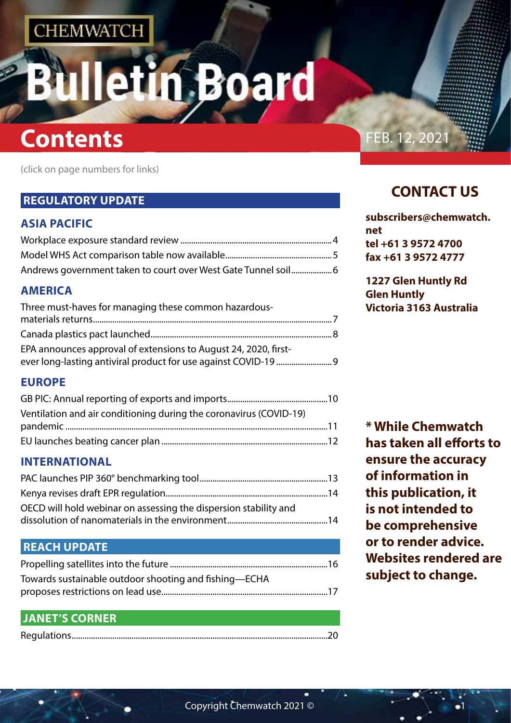# n Board

# **Contents Contents FEB. 12, 2021**

(click on page numbers for links)

# **[REGULATORY UPDATE](#page-2-0)**

## **[ASIA PACIFIC](#page-2-0)**

## **[AMERICA](#page-3-0)**

| Three must-haves for managing these common hazardous-           |  |
|-----------------------------------------------------------------|--|
|                                                                 |  |
|                                                                 |  |
| EPA announces approval of extensions to August 24, 2020, first- |  |
|                                                                 |  |

# **[EUROPE](#page-5-0)**

| Ventilation and air conditioning during the coronavirus (COVID-19) |  |
|--------------------------------------------------------------------|--|
|                                                                    |  |
|                                                                    |  |
|                                                                    |  |

## **[INTERNATIONAL](#page-6-0)**

| OECD will hold webinar on assessing the dispersion stability and |  |
|------------------------------------------------------------------|--|
|                                                                  |  |

# **[REACH UPDATE](#page-8-0)**

| Towards sustainable outdoor shooting and fishing—ECHA |  |
|-------------------------------------------------------|--|
|                                                       |  |

# **[JANET'S CORNER](#page-10-0)**

|--|

# **CONTACT US**

**[subscribers@chemwatch.](mailto:subscribers@chemwatch.net) [net](mailto:subscribers@chemwatch.net) tel +61 3 9572 4700 fax +61 3 9572 4777**

**1227 Glen Huntly Rd Glen Huntly Victoria 3163 Australia**

**\* While Chemwatch has taken all efforts to ensure the accuracy of information in this publication, it is not intended to be comprehensive or to render advice. Websites rendered are subject to change.**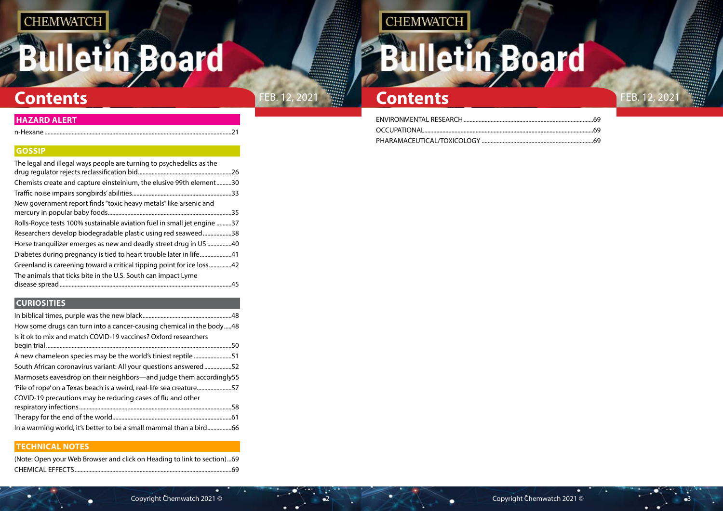# **Bulletin Board**

# **Contents** FEB. 12, 2021 **Contents** FEB. 12, 2021

**[HAZARD ALERT](#page-10-0)**

# **CHEMWATCH**

# **Bulletin Board**

# **[GOSSIP](#page-13-0)**

n-Hexane...

| The legal and illegal ways people are turning to psychedelics as the    | .26 |
|-------------------------------------------------------------------------|-----|
| Chemists create and capture einsteinium, the elusive 99th element       | .30 |
|                                                                         | .33 |
| New government report finds "toxic heavy metals" like arsenic and       | .35 |
| Rolls-Royce tests 100% sustainable aviation fuel in small jet engine 37 |     |
| Researchers develop biodegradable plastic using red seaweed38           |     |
| Horse tranguilizer emerges as new and deadly street drug in US 40       |     |
| Diabetes during pregnancy is tied to heart trouble later in life41      |     |
| 4242 Greening toward a critical tipping point for ice loss42            |     |
| The animals that ticks bite in the U.S. South can impact Lyme           |     |
|                                                                         | .45 |
|                                                                         |     |

## **[CURIOSITIES](#page-24-0)**

| How some drugs can turn into a cancer-causing chemical in the body48 |  |
|----------------------------------------------------------------------|--|
| Is it ok to mix and match COVID-19 vaccines? Oxford researchers      |  |
| A new chameleon species may be the world's tiniest reptile 51        |  |
| 5252 South African coronavirus variant: All your questions answered  |  |
| Marmosets eavesdrop on their neighbors—and judge them accordingly55  |  |
| 'Pile of rope' on a Texas beach is a weird, real-life sea creature57 |  |
| COVID-19 precautions may be reducing cases of flu and other          |  |
| .61                                                                  |  |
|                                                                      |  |

## **[TECHNICAL NOTES](#page-34-0)**

[\(Note: Open your Web Browser and click on Heading to link to section\)...69](#page-34-0) [CHEMICAL EFFECTS........................................................................................................69](#page-34-0)



| 69 |  |
|----|--|
|    |  |
|    |  |

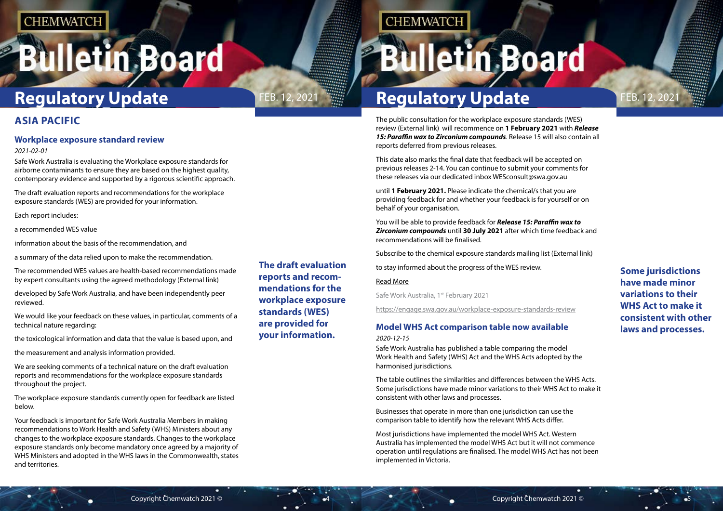# <span id="page-2-0"></span>**Bulletin Board**

**Some jurisdictions have made minor variations to their WHS Act to make it consistent with other laws and processes.**



**The draft evaluation reports and recommendations for the workplace exposure standards (WES) are provided for your information.**

# **CHEMWATCH**

# **Illetin Board**

The public consultation for the [workplace exposure standards \(WES\)](https://www.safeworkaustralia.gov.au/review-workplace-exposure-standards)  [review \(External link\)](https://www.safeworkaustralia.gov.au/review-workplace-exposure-standards) will recommence on **1 February 2021** with *Release 15: Paraffin wax to Zirconium compounds*. Release 15 will also contain all reports deferred from previous releases.

This date also marks the final date that feedback will be accepted on previous releases 2-14. You can continue to submit your comments for these releases via our dedicated inbox WESconsult@swa.gov.au

until **1 February 2021.** Please indicate the chemical/s that you are providing feedback for and whether your feedback is for yourself or on behalf of your organisation.

You will be able to provide feedback for *Release 15: Paraffin wax to Zirconium compounds* until **30 July 2021** after which time feedback and recommendations will be finalised.

Subscribe to the [chemical exposure standards mailing list \(External link\)](https://www.safeworkaustralia.gov.au/subscribe-updates)

to stay informed about the progress of the WES review.

## [Read More](https://engage.swa.gov.au/workplace-exposure-standards-review)

Safe Work Australia, 1st February 2021

<https://engage.swa.gov.au/workplace-exposure-standards-review>

# **Model WHS Act comparison table now available** *2020-12-15*

Safe Work Australia has published a table comparing the model Work Health and Safety (WHS) Act and the WHS Acts adopted by the harmonised jurisdictions.

The table outlines the similarities and differences between the WHS Acts. Some jurisdictions have made minor variations to their WHS Act to make it consistent with other laws and processes.

Businesses that operate in more than one jurisdiction can use the comparison table to identify how the relevant WHS Acts differ.

Most jurisdictions have implemented the model WHS Act. Western Australia has implemented the model WHS Act but it will not commence operation until regulations are finalised. The model WHS Act has not been implemented in Victoria.

# **ASIA PACIFIC**

# **Workplace exposure standard review**

## *2021-02-01*

Safe Work Australia is evaluating the [Workplace exposure standards for](https://www.safeworkaustralia.gov.au/doc/workplace-exposure-standards-airborne-contaminants)  [airborne contaminants t](https://www.safeworkaustralia.gov.au/doc/workplace-exposure-standards-airborne-contaminants)o ensure they are based on the highest quality, contemporary evidence and supported by a rigorous scientific approach.

The draft evaluation reports and recommendations for the workplace exposure standards (WES) are provided for your information.

Each report includes:

a recommended WES value

information about the basis of the recommendation, and

a summary of the data relied upon to make the recommendation.

The recommended WES values are health-based recommendations made by expert consultants using the [agreed methodology \(External link\)](https://www.safeworkaustralia.gov.au/workplace-exposure-standards-review-methodology)

developed by Safe Work Australia, and have been independently peer reviewed.

We would like your feedback on these values, in particular, comments of a technical nature regarding:

the toxicological information and data that the value is based upon, and

the measurement and analysis information provided.

We are seeking comments of a technical nature on the draft evaluation reports and recommendations for the workplace exposure standards throughout the project.

The workplace exposure standards currently open for feedback are listed below.

Your feedback is important for Safe Work Australia Members in making recommendations to Work Health and Safety (WHS) Ministers about any changes to the workplace exposure standards. Changes to the workplace exposure standards only become mandatory once agreed by a majority of WHS Ministers and adopted in the WHS laws in the Commonwealth, states and territories.

# **Regulatory Update**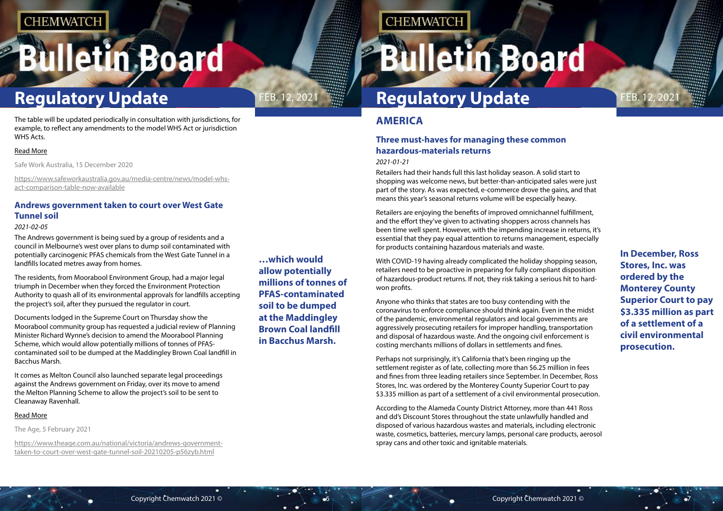# <span id="page-3-0"></span>**Bulletin Board**



**In December, Ross Stores, Inc. was ordered by the Monterey County Superior Court to pay \$3.335 million as part of a settlement of a civil environmental prosecution.**

**…which would allow potentially millions of tonnes of PFAS-contaminated soil to be dumped at the Maddingley Brown Coal landfill in Bacchus Marsh.**

# **Regulatory Update Regulatory Update**

# **AMERICA**

**CHEMWATCH** 

# **Three must-haves for managing these common hazardous-materials returns**

### *2021-01-21*

Retailers had their hands full this last holiday season. A [solid start to](https://nrf.com/media-center/press-releases/november-retail-sales-give-holiday-season-solid-start)  [shopping](https://nrf.com/media-center/press-releases/november-retail-sales-give-holiday-season-solid-start) was welcome news, but better-than-anticipated sales were just part of the story. As was expected, e-commerce drove the gains, and that means this year's seasonal returns volume will be especially heavy.

Retailers are enjoying the benefits of improved omnichannel fulfillment, and the effort they've given to activating shoppers across channels has been time well spent. However, with the impending increase in returns, it's essential that they pay equal attention to returns management, especially for products containing hazardous materials and waste.

With COVID-19 having already complicated the holiday shopping season, retailers need to be proactive in preparing for fully compliant disposition of hazardous-product returns. If not, they risk taking a serious hit to hardwon profits.

Anyone who thinks that states are too busy contending with the coronavirus to enforce compliance should think again. Even in the midst of the pandemic, environmental regulators and local governments are aggressively prosecuting retailers for improper handling, transportation and disposal of hazardous waste. And the ongoing civil enforcement is costing merchants millions of dollars in settlements and fines.

Perhaps not surprisingly, it's California that's been ringing up the settlement register as of late, collecting more than \$6.25 million in fees and fines from three leading retailers since September. In December, Ross Stores, Inc. was ordered by the Monterey County Superior Court to pay [\\$3.335 million](https://www.alcoda.org/newsroom/2020/dec/ross_to_pay_settlement_for_violations) as part of a settlement of a civil environmental prosecution.

According to the Alameda County District Attorney, more than 441 Ross and dd's Discount Stores throughout the state unlawfully handled and disposed of various hazardous wastes and materials, including electronic waste, cosmetics, batteries, mercury lamps, personal care products, aerosol spray cans and other toxic and ignitable materials.

The table will be updated periodically in consultation with jurisdictions, for example, to reflect any amendments to the model WHS Act or jurisdiction WHS Acts.

### [Read More](https://www.safeworkaustralia.gov.au/media-centre/news/model-whs-act-comparison-table-now-available)

Safe Work Australia, 15 December 2020

[https://www.safeworkaustralia.gov.au/media-centre/news/model-whs](https://www.safeworkaustralia.gov.au/media-centre/news/model-whs-act-comparison-table-now-available)[act-comparison-table-now-available](https://www.safeworkaustralia.gov.au/media-centre/news/model-whs-act-comparison-table-now-available)

## **Andrews government taken to court over West Gate Tunnel soil**

### *2021-02-05*

The Andrews government is being sued by a group of residents and a council in Melbourne's west over plans to dump soil contaminated with potentially carcinogenic PFAS chemicals from the West Gate Tunnel in a landfills located metres away from homes.

The residents, from Moorabool Environment Group, had a major legal triumph in December when they [forced the Environment Protection](https://www.theage.com.au/national/victoria/epa-quashes-all-west-gate-tunnel-landfill-approvals-20201210-p56mdn.html)  [Authority to quash all of its environmental approvals for landfills accepting](https://www.theage.com.au/national/victoria/epa-quashes-all-west-gate-tunnel-landfill-approvals-20201210-p56mdn.html)  [the project's soil,](https://www.theage.com.au/national/victoria/epa-quashes-all-west-gate-tunnel-landfill-approvals-20201210-p56mdn.html) after they pursued the regulator in court.

Documents lodged in the Supreme Court on Thursday show the Moorabool community group has requested a judicial review of Planning Minister Richard Wynne's decision to amend the Moorabool Planning Scheme, which would allow potentially millions of tonnes of PFAScontaminated soil to be dumped at the Maddingley Brown Coal landfill in Bacchus Marsh.

It comes as Melton Council also launched separate legal proceedings against the Andrews government on Friday, over its move to amend the Melton Planning Scheme to allow the project's soil to be sent to Cleanaway Ravenhall.

### [Read More](https://www.theage.com.au/national/victoria/andrews-government-taken-to-court-over-west-gate-tunnel-soil-20210205-p56zyb.html)

The Age, 5 February 2021

[https://www.theage.com.au/national/victoria/andrews-government](https://www.theage.com.au/national/victoria/andrews-government-taken-to-court-over-west-gate-tunnel-soil-20210205-p56zyb.html)[taken-to-court-over-west-gate-tunnel-soil-20210205-p56zyb.html](https://www.theage.com.au/national/victoria/andrews-government-taken-to-court-over-west-gate-tunnel-soil-20210205-p56zyb.html)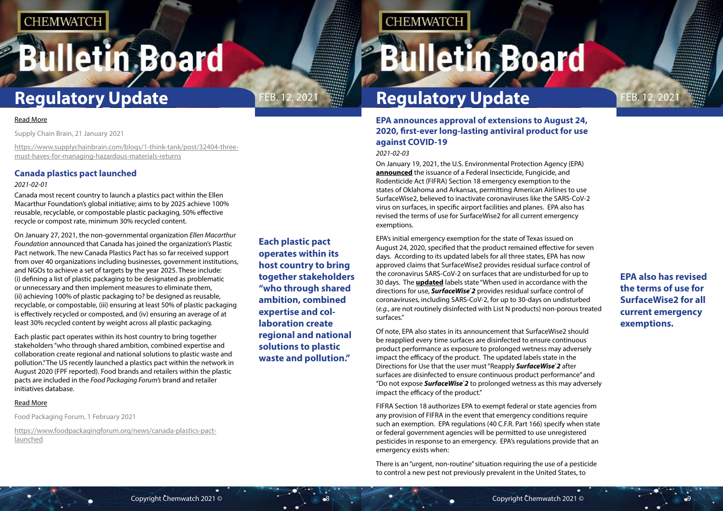# <span id="page-4-0"></span>**Bulletin Board**

**EPA also has revised the terms of use for SurfaceWise2 for all current emergency exemptions.**

**Each plastic pact operates within its host country to bring together stakeholders "who through shared ambition, combined expertise and collaboration create regional and national solutions to plastic waste and pollution."**

# **CHEMWATCH**

# **Bulletin Board**

# FEB. 12, 2021  $\frac{m}{2}$  Regulatory Update FEB. 12, 2021

# **Regulatory Update Regulatory Update**

# **EPA announces approval of extensions to August 24, 2020, first-ever long-lasting antiviral product for use against COVID-19**

## *2021-02-03*

On January 19, 2021, the U.S. Environmental Protection Agency (EPA) **[announced](https://www.epa.gov/pesticide-registration/epa-decision-documents-texas-arkansas-and-oklahoma-covid-19-emergency)** the issuance of a Federal Insecticide, Fungicide, and Rodenticide Act (FIFRA) Section 18 emergency exemption to the states of Oklahoma and Arkansas, permitting American Airlines to use SurfaceWise2, believed to inactivate coronaviruses like the SARS-CoV-2 virus on surfaces, in specific airport facilities and planes. EPA also has revised the terms of use for SurfaceWise2 for all current emergency exemptions.

EPA's initial emergency exemption for the state of Texas issued on August 24, 2020, specified that the product remained effective for seven days. According to its updated labels for all three states, EPA has now approved claims that SurfaceWise2 provides residual surface control of the coronavirus SARS-CoV-2 on surfaces that are undisturbed for up to 30 days. The **[updated](https://www.epa.gov/pesticide-registration/epa-decision-documents-texas-arkansas-and-oklahoma-covid-19-emergency)** labels state "When used in accordance with the directions for use, *SurfaceWise*® *2* provides residual surface control of coronaviruses, including SARS-CoV-2, for up to 30-days on undisturbed (*e.g.*, are not routinely disinfected with List N products) non-porous treated surfaces."

Of note, EPA also states in its announcement that SurfaceWise2 should be reapplied every time surfaces are disinfected to ensure continuous product performance as exposure to prolonged wetness may adversely impact the efficacy of the product. The updated labels state in the Directions for Use that the user must "Reapply *SurfaceWise*® *2* after surfaces are disinfected to ensure continuous product performance" and "Do not expose *SurfaceWise*® *2* to prolonged wetness as this may adversely impact the efficacy of the product."

[https://www.foodpackagingforum.org/news/canada-plastics-pact](https://www.foodpackagingforum.org/news/canada-plastics-pact-launched)**[launched](https://www.foodpackagingforum.org/news/canada-plastics-pact-launched)** 

FIFRA Section 18 authorizes EPA to exempt federal or state agencies from any provision of FIFRA in the event that emergency conditions require such an exemption. EPA regulations (40 C.F.R. Part 166) specify when state or federal government agencies will be permitted to use unregistered pesticides in response to an emergency. EPA's regulations provide that an emergency exists when:

There is an "urgent, non-routine" situation requiring the use of a pesticide to control a new pest not previously prevalent in the United States, to



## [Read More](https://www.supplychainbrain.com/blogs/1-think-tank/post/32404-three-must-haves-for-managing-hazardous-materials-returns)

Supply Chain Brain, 21 January 2021

[https://www.supplychainbrain.com/blogs/1-think-tank/post/32404-three](https://www.supplychainbrain.com/blogs/1-think-tank/post/32404-three-must-haves-for-managing-hazardous-materials-returns)[must-haves-for-managing-hazardous-materials-returns](https://www.supplychainbrain.com/blogs/1-think-tank/post/32404-three-must-haves-for-managing-hazardous-materials-returns)

# **Canada plastics pact launched**

### *2021-02-01*

Canada most recent country to launch a plastics pact within the Ellen Macarthur Foundation's global initiative; aims to by 2025 achieve 100% reusable, recyclable, or compostable plastic packaging, 50% effective recycle or compost rate, minimum 30% recycled content.

On January 27, 2021, the non-governmental organization *Ellen Macarthur Foundation* [announced](https://www.ellenmacarthurfoundation.org/news/canada-joins-the-plastics-pact-network) that Canada has joined the organization's Plastic Pact network. The new [Canada Plastics Pact](https://plasticspact.ca/partners-list/) has so far received support from over 40 organizations including businesses, government institutions, and NGOs to achieve a set of targets by the year 2025. These include: (i) defining a list of plastic packaging to be designated as problematic or unnecessary and then implement measures to eliminate them, (ii) achieving 100% of plastic packaging to? be designed as reusable, recyclable, or compostable, (iii) ensuring at least 50% of plastic packaging is effectively recycled or composted, and (iv) ensuring an average of at least 30% recycled content by weight across all plastic packaging.

Each plastic pact operates within its host country to bring together stakeholders "who through shared ambition, combined expertise and collaboration create regional and national solutions to plastic waste and pollution." The US recently launched a plastics pact within the network in August 2020 (FPF [reported\)](https://www.foodpackagingforum.org/news/us-plastics-pact-launched). Food brands and retailers within the plastic pacts are included in the *Food Packaging Forum's* brand and retailer initiatives [database](https://www.foodpackagingforum.org/brand-retailer-initiatives).

## [Read More](https://www.foodpackagingforum.org/news/canada-plastics-pact-launched)

Food Packaging Forum, 1 February 2021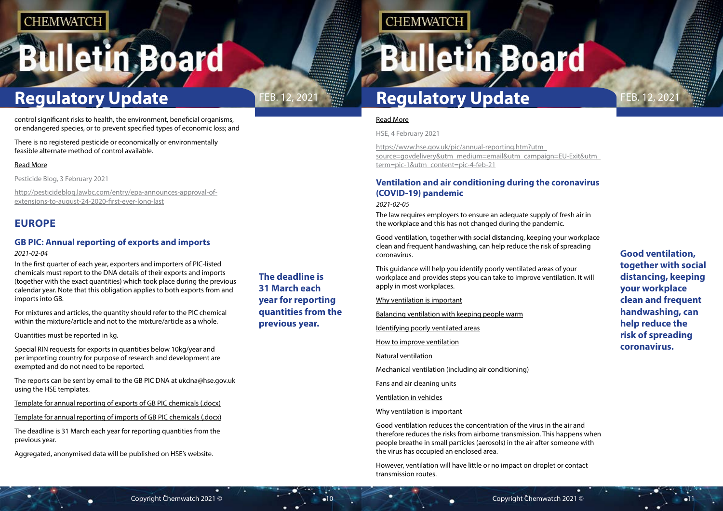# <span id="page-5-0"></span>**Bulletin Board**



**Good ventilation, together with social distancing, keeping your workplace clean and frequent handwashing, can help reduce the risk of spreading coronavirus.**

# **The deadline is 31 March each year for reporting quantities from the previous year.**

# **Bulletin Board**

**CHEMWATCH** 

# **Regulatory Update Regulatory Update**

## [Read More](https://www.hse.gov.uk/pic/annual-reporting.htm?utm_source=govdelivery&utm_medium=email&utm_campaign=EU-Exit&utm_term=pic-1&utm_content=pic-4-feb-21)

HSE, 4 February 2021

[https://www.hse.gov.uk/pic/annual-reporting.htm?utm\\_](https://www.hse.gov.uk/pic/annual-reporting.htm?utm_source=govdelivery&utm_medium=email&utm_campaign=EU-Exit&utm_term=pic-1&utm_content=pic-4-feb-21) [source=govdelivery&utm\\_medium=email&utm\\_campaign=EU-Exit&utm\\_](https://www.hse.gov.uk/pic/annual-reporting.htm?utm_source=govdelivery&utm_medium=email&utm_campaign=EU-Exit&utm_term=pic-1&utm_content=pic-4-feb-21) [term=pic-1&utm\\_content=pic-4-feb-21](https://www.hse.gov.uk/pic/annual-reporting.htm?utm_source=govdelivery&utm_medium=email&utm_campaign=EU-Exit&utm_term=pic-1&utm_content=pic-4-feb-21)

# **Ventilation and air conditioning during the coronavirus (COVID-19) pandemic**

## *2021-02-05*

The law requires employers to ensure an adequate supply of fresh air in the workplace and this has not changed during the pandemic.

Good ventilation, together with social distancing, keeping your workplace clean and frequent handwashing, can help reduce the risk of spreading coronavirus.

This guidance will help you identify poorly ventilated areas of your workplace and provides steps you can take to improve ventilation. It will apply in most workplaces.

Why ventilation is important

Balancing ventilation with keeping people warm

Identifying poorly ventilated areas

How to improve ventilation

Natural ventilation

Mechanical ventilation (including air conditioning)

Fans and air cleaning units

Ventilation in vehicles

Why ventilation is important

Good ventilation reduces the concentration of the virus in the air and therefore reduces the risks from airborne transmission. This happens when people breathe in small particles (aerosols) in the air after someone with the virus has occupied an enclosed area.

However, ventilation will have little or no impact on droplet or contact transmission routes.

control significant risks to health, the environment, beneficial organisms, or endangered species, or to prevent specified types of economic loss; and

There is no registered pesticide or economically or environmentally feasible alternate method of control available.

### [Read More](http://pesticideblog.lawbc.com/entry/epa-announces-approval-of-extensions-to-august-24-2020-first-ever-long-last)

Pesticide Blog, 3 February 2021

[http://pesticideblog.lawbc.com/entry/epa-announces-approval-of](http://pesticideblog.lawbc.com/entry/epa-announces-approval-of-extensions-to-august-24-2020-first-ever-long-last)[extensions-to-august-24-2020-first-ever-long-last](http://pesticideblog.lawbc.com/entry/epa-announces-approval-of-extensions-to-august-24-2020-first-ever-long-last)

# **EUROPE**

## **GB PIC: Annual reporting of exports and imports**

### *2021-02-04*

In the first quarter of each year, exporters and importers of PIC-listed chemicals must report to the DNA details of their exports and imports (together with the exact quantities) which took place during the previous calendar year. Note that this obligation applies to both exports from and imports into GB.

For mixtures and articles, the quantity should refer to the PIC chemical within the mixture/article and not to the mixture/article as a whole.

Quantities must be reported in kg.

Special RIN requests for exports in quantities below 10kg/year and per importing country for purpose of research and development are exempted and do not need to be reported.

The reports can be sent by email to the GB PIC DNA at ukdna@hse.gov.uk using the HSE templates.

[Template for annual reporting of exports of GB PIC chemicals \(.docx\)](https://www.hse.gov.uk/pic/assets/docs/annual-report-export.docx)

[Template for annual reporting of imports of GB PIC chemicals \(.docx\)](https://www.hse.gov.uk/pic/assets/docs/annual-report-import.docx)

The deadline is 31 March each year for reporting quantities from the previous year.

Aggregated, anonymised data will be published on HSE's website.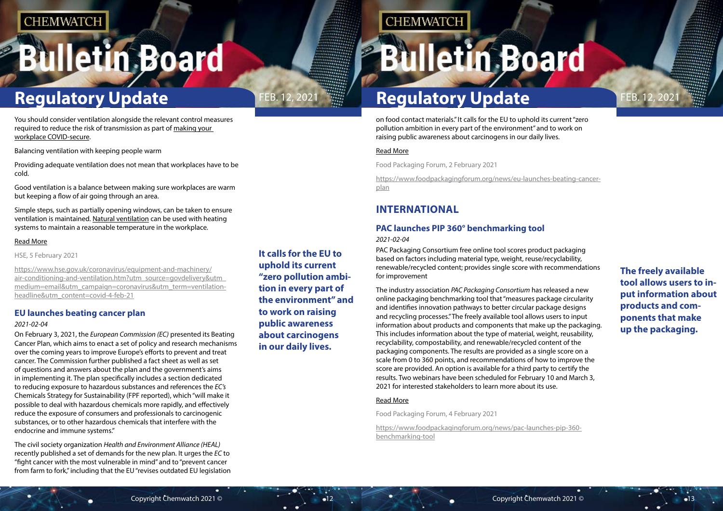# <span id="page-6-0"></span>**Bulletin Board**

**The freely available tool allows users to input information about products and components that make up the packaging.**

**It calls for the EU to uphold its current "zero pollution ambition in every part of the environment" and to work on raising public awareness about carcinogens in our daily lives.**

# **CHEMWATCH**

**Bulletin Board** 

# FEB. 12, 2021 **Regulatory Update** FEB. 12, 2021

# **Regulatory Update Regulatory Update**

on food contact materials." It calls for the EU to uphold its current "zero pollution ambition in every part of the environment" and to work on raising public awareness about carcinogens in our daily lives.

### [Read More](https://www.foodpackagingforum.org/news/eu-launches-beating-cancer-plan)

Food Packaging Forum, 2 February 2021

[https://www.foodpackagingforum.org/news/eu-launches-beating-cancer](https://www.foodpackagingforum.org/news/eu-launches-beating-cancer-plan)[plan](https://www.foodpackagingforum.org/news/eu-launches-beating-cancer-plan)

# **INTERNATIONAL**

## **PAC launches PIP 360° benchmarking tool** *2021-02-04*

PAC Packaging Consortium free online tool scores product packaging based on factors including material type, weight, reuse/recyclability, renewable/recycled content; provides single score with recommendations for improvement

The industry association *PAC Packaging Consortium* has released a new online packaging [benchmarking tool](https://www.pacpip360.com/) that "measures package circularity and identifies innovation pathways to better circular package designs and recycling processes." The freely available tool allows users to input information about products and components that make up the packaging. This includes information about the type of material, weight, reusability, recyclability, compostability, and renewable/recycled content of the packaging components. The results are provided as a single score on a scale from 0 to 360 points, and recommendations of how to improve the score are provided. An option is available for a third party to certify the results. Two [webinars](https://www.pac.ca/events/) have been scheduled for February 10 and March 3, 2021 for interested stakeholders to learn more about its use.

## [Read More](https://www.foodpackagingforum.org/news/pac-launches-pip-360-benchmarking-tool)

Food Packaging Forum, 4 February 2021

[https://www.foodpackagingforum.org/news/pac-launches-pip-360](https://www.foodpackagingforum.org/news/pac-launches-pip-360-benchmarking-tool) [benchmarking-tool](https://www.foodpackagingforum.org/news/pac-launches-pip-360-benchmarking-tool)



You should consider ventilation alongside the relevant control measures required to reduce the risk of transmission as part of [making your](https://www.hse.gov.uk/coronavirus/working-safely/index.htm)  [workplace COVID-secure](https://www.hse.gov.uk/coronavirus/working-safely/index.htm).

Balancing ventilation with keeping people warm

Providing adequate ventilation does not mean that workplaces have to be cold.

Good ventilation is a balance between making sure workplaces are warm but keeping a flow of air going through an area.

Simple steps, such as partially opening windows, can be taken to ensure ventilation is maintained. Natural ventilation can be used with heating systems to maintain a reasonable temperature in the workplace.

### [Read More](https://www.hse.gov.uk/coronavirus/equipment-and-machinery/air-conditioning-and-ventilation.htm?utm_source=govdelivery&utm_medium=email&utm_campaign=coronavirus&utm_term=ventilation-headline&utm_content=covid-4-feb-21)

HSE, 5 February 2021

[https://www.hse.gov.uk/coronavirus/equipment-and-machinery/](https://www.hse.gov.uk/coronavirus/equipment-and-machinery/air-conditioning-and-ventilation.htm?utm_source=govdelivery&utm_medium=email&utm_campaign=coronavirus&utm_term=ventilation-headline&utm_content=covid-4-feb-21) air-conditioning-and-ventilation.htm?utm\_source=govdelivery&utm [medium=email&utm\\_campaign=coronavirus&utm\\_term=ventilation](https://www.hse.gov.uk/coronavirus/equipment-and-machinery/air-conditioning-and-ventilation.htm?utm_source=govdelivery&utm_medium=email&utm_campaign=coronavirus&utm_term=ventilation-headline&utm_content=covid-4-feb-21)[headline&utm\\_content=covid-4-feb-21](https://www.hse.gov.uk/coronavirus/equipment-and-machinery/air-conditioning-and-ventilation.htm?utm_source=govdelivery&utm_medium=email&utm_campaign=coronavirus&utm_term=ventilation-headline&utm_content=covid-4-feb-21)

## **EU launches beating cancer plan**

### *2021-02-04*

On February 3, 2021, the *European Commission (EC)* [presented](https://ec.europa.eu/commission/presscorner/detail/en/IP_21_342) its [Beating](https://ec.europa.eu/health/sites/health/files/non_communicable_diseases/docs/eu_cancer-plan_en.pdf)  [Cancer Plan,](https://ec.europa.eu/health/sites/health/files/non_communicable_diseases/docs/eu_cancer-plan_en.pdf) which aims to enact a set of policy and research mechanisms over the coming years to improve Europe's efforts to prevent and treat cancer. The Commission further published a [fact sheet](https://ec.europa.eu/commission/presscorner/detail/en/FS_21_341) as well as set of [questions and answers](https://ec.europa.eu/commission/presscorner/detail/en/QANDA_21_344) about the plan and the government's aims in implementing it. The plan specifically includes a section dedicated to reducing exposure to hazardous substances and references the *EC's*  Chemicals Strategy for Sustainability (FPF [reported](https://www.foodpackagingforum.org/news/eus-chemicals-strategy-plans-actions-on-fcms)), which "will make it possible to deal with hazardous chemicals more rapidly, and effectively reduce the exposure of consumers and professionals to carcinogenic substances, or to other hazardous chemicals that interfere with the endocrine and immune systems."

The civil society organization *Health and Environment Alliance (HEAL)* recently published a [set of demands](https://www.env-health.org/4-demands-for-an-ambitious-europes-beating-cancer-plan/) for the new plan. It urges the *EC* to "fight cancer with the most vulnerable in mind" and to "prevent cancer from farm to fork," including that the EU "revises outdated EU legislation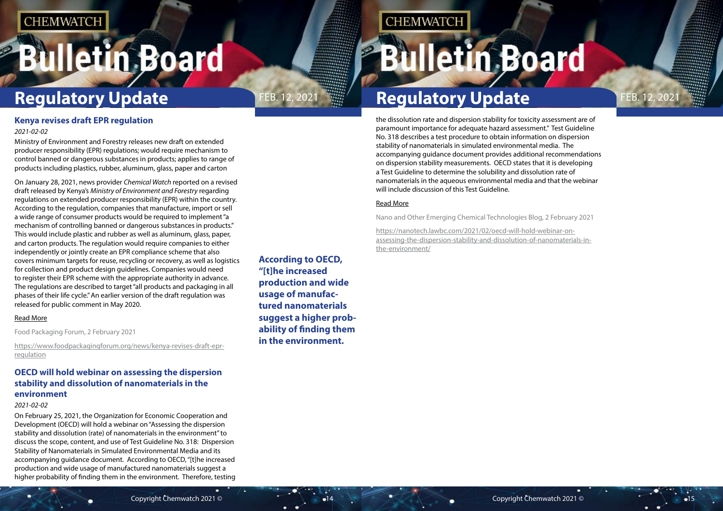# <span id="page-7-0"></span>**Bulletin Board**

**According to OECD, "[t]he increased production and wide usage of manufactured nanomaterials suggest a higher probability of finding them in the environment.**

# **CHEMWATCH**

# **Bulletin Board**

# FEB. 12, 2021 **FEB. 12, 2021** Regulatory Update **FEB. 12, 2021**

# **Regulatory Update Regulatory Update**

the dissolution rate and dispersion stability for toxicity assessment are of paramount importance for adequate hazard assessment." Test Guideline No. 318 describes a test procedure to obtain information on dispersion stability of nanomaterials in simulated environmental media. The accompanying guidance document provides additional recommendations on dispersion stability measurements. OECD states that it is developing a Test Guideline to determine the solubility and dissolution rate of nanomaterials in the aqueous environmental media and that the webinar will include discussion of this Test Guideline.

## [Read More](https://nanotech.lawbc.com/2021/02/oecd-will-hold-webinar-on-assessing-the-dispersion-stability-and-dissolution-of-nanomaterials-in-the-environment/?utm_source=Bergeson+%26+Campbell%2C+P.C.+-+Nano+and+Other+Emerging+Chemical+Technologies+Blog&utm_campaign=64f12c8f36-RSS_EMAIL_CAMPAIGN&utm_medium=email&utm_term=0_9a895e87b2-64f12c8f36-73807113)

Nano and Other Emerging Chemical Technologies Blog, 2 February 2021

[https://nanotech.lawbc.com/2021/02/oecd-will-hold-webinar-on](https://nanotech.lawbc.com/2021/02/oecd-will-hold-webinar-on-assessing-the-dispersion-stability-and-dissolution-of-nanomaterials-in-the-environment/)[assessing-the-dispersion-stability-and-dissolution-of-nanomaterials-in](https://nanotech.lawbc.com/2021/02/oecd-will-hold-webinar-on-assessing-the-dispersion-stability-and-dissolution-of-nanomaterials-in-the-environment/)[the-environment/](https://nanotech.lawbc.com/2021/02/oecd-will-hold-webinar-on-assessing-the-dispersion-stability-and-dissolution-of-nanomaterials-in-the-environment/)





# **Kenya revises draft EPR regulation**

## *2021-02-02*

Ministry of Environment and Forestry releases new draft on extended producer responsibility (EPR) regulations; would require mechanism to control banned or dangerous substances in products; applies to range of products including plastics, rubber, aluminum, glass, paper and carton

On January 28, 2021, news provider *Chemical Watch* [reported](https://chemicalwatch.com/208026/kenyan-epr-scheme-would-require-companies-to-control-chemicals-in-products) on a [revised](http://www.environment.go.ke/wp-content/uploads/2020/12/14.12.20-EPR-REGULATION.pdf)  [draft](http://www.environment.go.ke/wp-content/uploads/2020/12/14.12.20-EPR-REGULATION.pdf) released by Kenya's *Ministry of Environment and Forestry* regarding regulations on extended producer responsibility (EPR) within the country. According to the regulation, companies that manufacture, import or sell a wide range of consumer products would be required to implement "a mechanism of controlling banned or dangerous substances in products." This would include plastic and rubber as well as aluminum, glass, paper, and carton products. The regulation would require companies to either independently or jointly create an EPR compliance scheme that also covers minimum targets for reuse, recycling or recovery, as well as logistics for collection and product design guidelines. Companies would need to register their EPR scheme with the appropriate authority in advance. The regulations are described to target "all products and packaging in all phases of their life cycle." An earlier [version](http://www.environment.go.ke/wp-content/uploads/2020/05/4th-May-EXTENDED-PRODUCER-RESPONSIBILITY-REGULATIONS-2020-1.pdf) of the draft regulation was released for public comment in May 2020.

## [Read More](https://www.foodpackagingforum.org/news/kenya-revises-draft-epr-regulation)

Food Packaging Forum, 2 February 2021

[https://www.foodpackagingforum.org/news/kenya-revises-draft-epr](https://www.foodpackagingforum.org/news/kenya-revises-draft-epr-regulation)[regulation](https://www.foodpackagingforum.org/news/kenya-revises-draft-epr-regulation)

# **OECD will hold webinar on assessing the dispersion stability and dissolution of nanomaterials in the environment**

## *2021-02-02*

On February 25, 2021, the Organization for Economic Cooperation and Development (OECD) will hold a webinar on "Assessing the dispersion stability and dissolution (rate) of nanomaterials in the environment" to discuss the scope, content, and use of Test Guideline No. 318: Dispersion Stability of Nanomaterials in Simulated Environmental Media and its accompanying guidance document. According to OECD, "[t]he increased production and wide usage of manufactured nanomaterials suggest a higher probability of finding them in the environment. Therefore, testing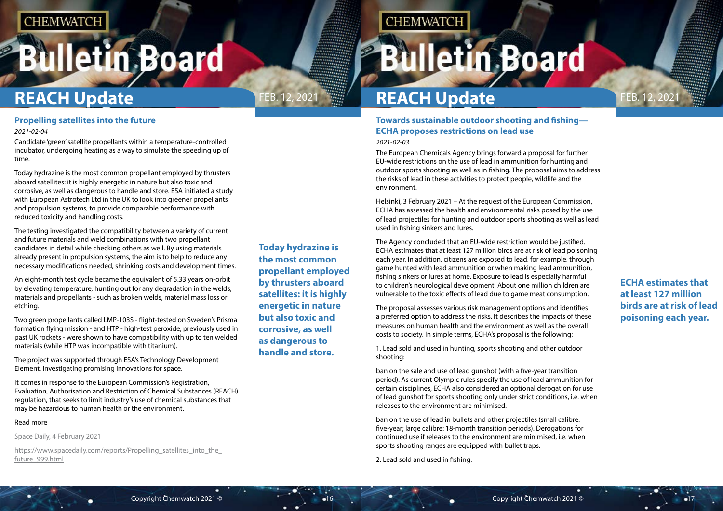# <span id="page-8-0"></span>**Bulletin Board**

**ECHA estimates that at least 127 million birds are at risk of lead poisoning each year.**



**Today hydrazine is the most common propellant employed by thrusters aboard satellites: it is highly energetic in nature but also toxic and corrosive, as well as dangerous to handle and store.**

**CHEMWATCH** 

# **Towards sustainable outdoor shooting and fishing— ECHA proposes restrictions on lead use**

### *2021-02-03*

The European Chemicals Agency brings forward a proposal for further EU-wide restrictions on the use of lead in ammunition for hunting and outdoor sports shooting as well as in fishing. The proposal aims to address the risks of lead in these activities to protect people, wildlife and the environment.

Helsinki, 3 February 2021 – At the request of the European Commission, ECHA has assessed the health and environmental risks posed by the use of lead projectiles for hunting and outdoor sports shooting as well as lead used in fishing sinkers and lures.

The Agency concluded that an EU-wide restriction would be justified. ECHA estimates that at least 127 million birds are at risk of lead poisoning each year. In addition, citizens are exposed to lead, for example, through game hunted with lead ammunition or when making lead ammunition, fishing sinkers or lures at home. Exposure to lead is especially harmful to children's neurological development. About one million children are vulnerable to the toxic effects of lead due to game meat consumption.

The proposal assesses various risk management options and identifies a preferred option to address the risks. It describes the impacts of these measures on human health and the environment as well as the overall costs to society. In simple terms, ECHA's proposal is the following:

1. Lead sold and used in hunting, sports shooting and other outdoor shooting:

ban on the sale and use of lead gunshot (with a five-year transition period). As current Olympic rules specify the use of lead ammunition for certain disciplines, ECHA also considered an optional derogation for use of lead gunshot for sports shooting only under strict conditions, i.e. when releases to the environment are minimised.

[https://www.spacedaily.com/reports/Propelling\\_satellites\\_into\\_the\\_](https://www.spacedaily.com/reports/Propelling_satellites_into_the_future_999.html) [future\\_999.html](https://www.spacedaily.com/reports/Propelling_satellites_into_the_future_999.html)

ban on the use of lead in bullets and other projectiles (small calibre: five-year; large calibre: 18-month transition periods). Derogations for continued use if releases to the environment are minimised, i.e. when sports shooting ranges are equipped with bullet traps.

2. Lead sold and used in fishing:

# **Propelling satellites into the future**

### *2021-02-04*

Candidate 'green' satellite propellants within a temperature-controlled incubator, undergoing heating as a way to simulate the speeding up of time.

Today hydrazine is the most common propellant employed by thrusters aboard satellites: it is highly energetic in nature but also toxic and corrosive, as well as dangerous to handle and store. ESA initiated a study with European Astrotech Ltd in the UK to look into greener propellants and propulsion systems, to provide comparable performance with reduced toxicity and handling costs.

The testing investigated the compatibility between a variety of current and future materials and weld combinations with two propellant candidates in detail while checking others as well. By using materials already present in propulsion systems, the aim is to help to reduce any necessary modifications needed, shrinking costs and development times.

An eight-month test cycle became the equivalent of 5.33 years on-orbit by elevating temperature, hunting out for any degradation in the welds, materials and propellants - such as broken welds, material mass loss or etching.

Two green propellants called LMP-103S - flight-tested on Sweden's Prisma formation flying mission - and HTP - high-test peroxide, previously used in past UK rockets - were shown to have compatibility with up to ten welded materials (while HTP was incompatible with titanium).

The project was supported through ESA's Technology Development Element, investigating promising innovations for space.

It comes in response to the European Commission's Registration, Evaluation, Authorisation and Restriction of Chemical Substances (REACH) regulation, that seeks to limit industry's use of chemical substances that may be hazardous to human health or the environment.

## [Read more](https://www.spacedaily.com/reports/Propelling_satellites_into_the_future_999.html)

Space Daily, 4 February 2021

# **REACH Update**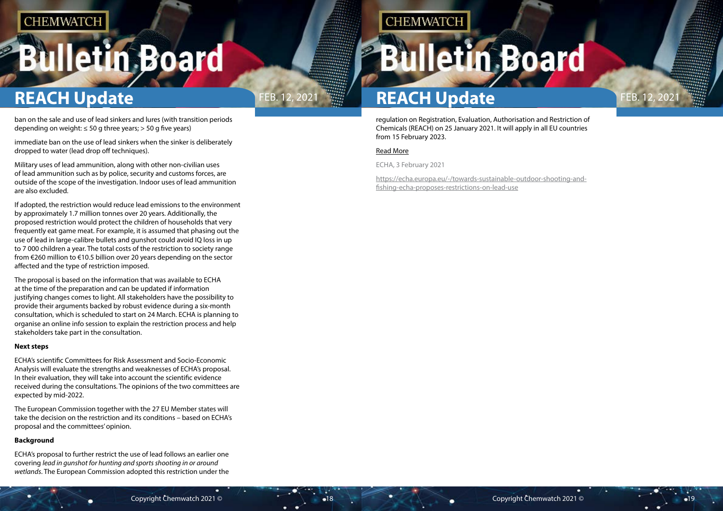# **Bulletin Board**





regulation on Registration, Evaluation, Authorisation and Restriction of Chemicals (REACH) on 25 January 2021. It will apply in all EU countries from 15 February 2023.

ban on the sale and use of lead sinkers and lures (with transition periods depending on weight:  $\leq 50$  g three years;  $> 50$  g five years)

### [Read More](https://echa.europa.eu/-/towards-sustainable-outdoor-shooting-and-fishing-echa-proposes-restrictions-on-lead-use)

ECHA, 3 February 2021

**CHEMWATCH** 

[https://echa.europa.eu/-/towards-sustainable-outdoor-shooting-and](https://echa.europa.eu/-/towards-sustainable-outdoor-shooting-and-fishing-echa-proposes-restrictions-on-lead-use)[fishing-echa-proposes-restrictions-on-lead-use](https://echa.europa.eu/-/towards-sustainable-outdoor-shooting-and-fishing-echa-proposes-restrictions-on-lead-use)

immediate ban on the use of lead sinkers when the sinker is deliberately dropped to water (lead drop off techniques).

Military uses of lead ammunition, along with other non-civilian uses of lead ammunition such as by police, security and customs forces, are outside of the scope of the investigation. Indoor uses of lead ammunition are also excluded.

If adopted, the restriction would reduce lead emissions to the environment by approximately 1.7 million tonnes over 20 years. Additionally, the proposed restriction would protect the children of households that very frequently eat game meat. For example, it is assumed that phasing out the use of lead in large-calibre bullets and gunshot could avoid IQ loss in up to 7 000 children a year. The total costs of the restriction to society range from €260 million to €10.5 billion over 20 years depending on the sector affected and the type of restriction imposed.

The proposal is based on the information that was available to ECHA at the time of the preparation and can be updated if information justifying changes comes to light. All stakeholders have the possibility to provide their arguments backed by robust evidence during a six-month consultation, which is scheduled to start on 24 March. ECHA is planning to organise an online info session to explain the restriction process and help stakeholders take part in the consultation.

### **Next steps**

ECHA's scientific Committees for Risk Assessment and Socio-Economic Analysis will evaluate the strengths and weaknesses of ECHA's proposal. In their evaluation, they will take into account the scientific evidence received during the consultations. The opinions of the two committees are expected by mid-2022.

The European Commission together with the 27 EU Member states will take the decision on the restriction and its conditions – based on ECHA's proposal and the committees' opinion.

### **Background**

ECHA's proposal to further restrict the use of lead follows an earlier one covering *lead in gunshot for hunting and sports shooting in or around wetlands*. The European Commission adopted this restriction under the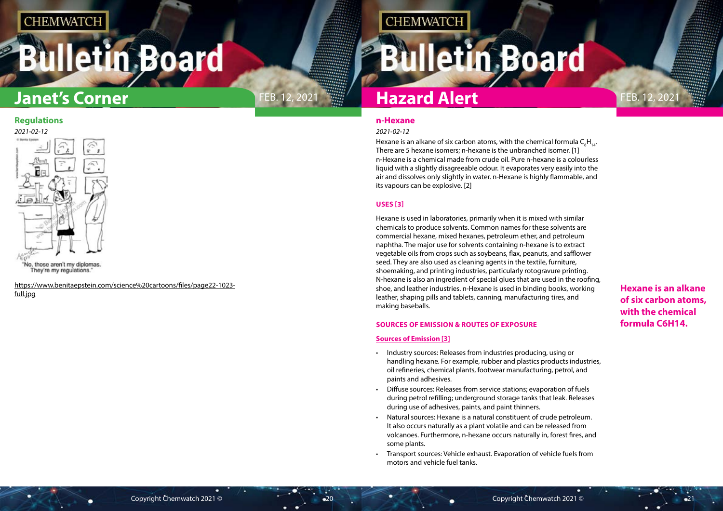# <span id="page-10-0"></span>**Bulletin Board**



Feb. 12, 2021

# **CHEMWATCH Illetin Board**

**Hexane is an alkane of six carbon atoms, with the chemical formula C6H14.**

# **n-Hexane**

## *2021-02-12*

Hexane is an alkane of six carbon atoms, with the chemical formula  $C_6H_{14}$ . There are 5 hexane isomers; n-hexane is the unbranched isomer. [1] n-Hexane is a chemical made from crude oil. Pure n-hexane is a colourless liquid with a slightly disagreeable odour. It evaporates very easily into the air and dissolves only slightly in water. n-Hexane is highly flammable, and its vapours can be explosive. [2]

## **USES [3]**

Hexane is used in laboratories, primarily when it is mixed with similar chemicals to produce solvents. Common names for these solvents are commercial hexane, mixed hexanes, petroleum ether, and petroleum naphtha. The major use for solvents containing n-hexane is to extract vegetable oils from crops such as soybeans, flax, peanuts, and safflower seed. They are also used as cleaning agents in the textile, furniture, shoemaking, and printing industries, particularly rotogravure printing. N-hexane is also an ingredient of special glues that are used in the roofing, shoe, and leather industries. n-Hexane is used in binding books, working leather, shaping pills and tablets, canning, manufacturing tires, and making baseballs.

## **SOURCES OF EMISSION & ROUTES OF EXPOSURE**

## **Sources of Emission [3]**

- Industry sources: Releases from industries producing, using or handling hexane. For example, rubber and plastics products industries, oil refineries, chemical plants, footwear manufacturing, petrol, and paints and adhesives.
- Diffuse sources: Releases from service stations; evaporation of fuels during petrol refilling; underground storage tanks that leak. Releases during use of adhesives, paints, and paint thinners.
- Natural sources: Hexane is a natural constituent of crude petroleum. It also occurs naturally as a plant volatile and can be released from volcanoes. Furthermore, n-hexane occurs naturally in, forest fires, and some plants.
- Transport sources: Vehicle exhaust. Evaporation of vehicle fuels from motors and vehicle fuel tanks.

# **Hazard Alert**

# **Regulations**





[https://www.benitaepstein.com/science%20cartoons/files/page22-1023](https://www.benitaepstein.com/science%20cartoons/files/page22-1023-full.jpg) [full.jpg](https://www.benitaepstein.com/science%20cartoons/files/page22-1023-full.jpg)

# **Janet's Corner**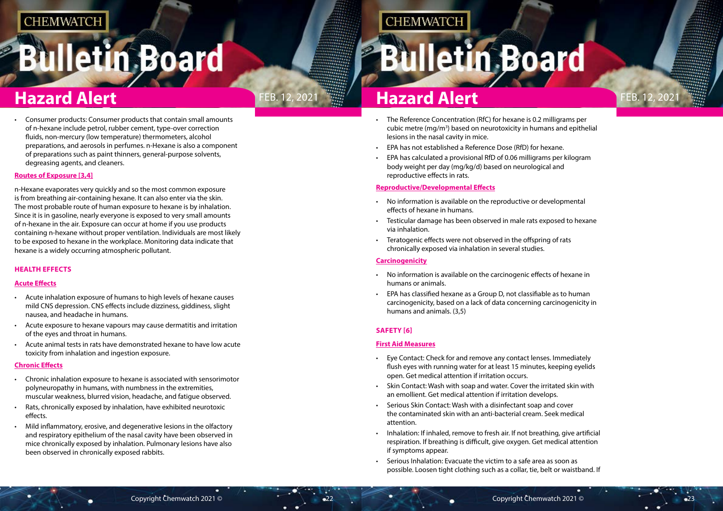# **Bulletin Board**



- The Reference Concentration (RfC) for hexane is 0.2 milligrams per cubic metre ( $mg/m<sup>3</sup>$ ) based on neurotoxicity in humans and epithelial lesions in the nasal cavity in mice.
- EPA has not established a Reference Dose (RfD) for hexane.
- EPA has calculated a provisional RfD of 0.06 milligrams per kilogram body weight per day (mg/kg/d) based on neurological and reproductive effects in rats.

### **Reproductive/Developmental Effects**

- No information is available on the reproductive or developmental effects of hexane in humans.
- Testicular damage has been observed in male rats exposed to hexane via inhalation.
- Teratogenic effects were not observed in the offspring of rats chronically exposed via inhalation in several studies.

### **Carcinogenicity**

- No information is available on the carcinogenic effects of hexane in humans or animals.
- EPA has classified hexane as a Group D, not classifiable as to human carcinogenicity, based on a lack of data concerning carcinogenicity in humans and animals. (3,5)

### **SAFETY [6]**

### **First Aid Measures**

- Eye Contact: Check for and remove any contact lenses. Immediately flush eyes with running water for at least 15 minutes, keeping eyelids open. Get medical attention if irritation occurs.
- Skin Contact: Wash with soap and water. Cover the irritated skin with an emollient. Get medical attention if irritation develops.
- Serious Skin Contact: Wash with a disinfectant soap and cover the contaminated skin with an anti-bacterial cream. Seek medical attention.
- Inhalation: If inhaled, remove to fresh air. If not breathing, give artificial respiration. If breathing is difficult, give oxygen. Get medical attention if symptoms appear.
- Serious Inhalation: Evacuate the victim to a safe area as soon as possible. Loosen tight clothing such as a collar, tie, belt or waistband. If

• Consumer products: Consumer products that contain small amounts of n-hexane include petrol, rubber cement, type-over correction fluids, non-mercury (low temperature) thermometers, alcohol preparations, and aerosols in perfumes. n-Hexane is also a component of preparations such as paint thinners, general-purpose solvents, degreasing agents, and cleaners.

### **Routes of Exposure [3,4]**

n-Hexane evaporates very quickly and so the most common exposure is from breathing air-containing hexane. It can also enter via the skin. The most probable route of human exposure to hexane is by inhalation. Since it is in gasoline, nearly everyone is exposed to very small amounts of n-hexane in the air. Exposure can occur at home if you use products containing n-hexane without proper ventilation. Individuals are most likely to be exposed to hexane in the workplace. Monitoring data indicate that hexane is a widely occurring atmospheric pollutant.

## **HEALTH EFFECTS**

### **Acute Effects**

- Acute inhalation exposure of humans to high levels of hexane causes mild CNS depression. CNS effects include dizziness, giddiness, slight nausea, and headache in humans.
- Acute exposure to hexane vapours may cause dermatitis and irritation of the eyes and throat in humans.
- Acute animal tests in rats have demonstrated hexane to have low acute toxicity from inhalation and ingestion exposure.

### **Chronic Effects**

- Chronic inhalation exposure to hexane is associated with sensorimotor polyneuropathy in humans, with numbness in the extremities, muscular weakness, blurred vision, headache, and fatigue observed.
- Rats, chronically exposed by inhalation, have exhibited neurotoxic effects.
- Mild inflammatory, erosive, and degenerative lesions in the olfactory and respiratory epithelium of the nasal cavity have been observed in mice chronically exposed by inhalation. Pulmonary lesions have also been observed in chronically exposed rabbits.

# **CHEMWATCH**

# **Illetin Board**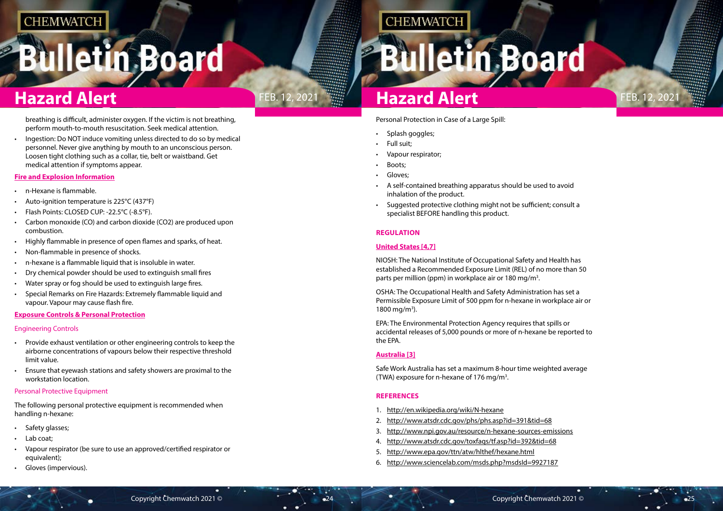# **Bulletin Board**



Personal Protection in Case of a Large Spill:

NIOSH: The National Institute of Occupational Safety and Health has established a Recommended Exposure Limit (REL) of no more than 50 parts per million (ppm) in workplace air or 180 mg/m<sup>3</sup>.

- Splash goggles;
- Full suit;
- Vapour respirator;
- Boots;
- Gloves;
- A self-contained breathing apparatus should be used to avoid inhalation of the product.
- Suggested protective clothing might not be sufficient; consult a specialist BEFORE handling this product.

OSHA: The Occupational Health and Safety Administration has set a Permissible Exposure Limit of 500 ppm for n-hexane in workplace air or 1800 mg/m<sup>3</sup>).

### **REGULATION**

## **United States [4,7]**

Safe Work Australia has set a maximum 8-hour time weighted average (TWA) exposure for n-hexane of 176 mg/m<sup>3</sup>.

EPA: The Environmental Protection Agency requires that spills or accidental releases of 5,000 pounds or more of n-hexane be reported to the EPA.

## **Australia [3]**

## **REFERENCES**

- 1. <http://en.wikipedia.org/wiki/N-hexane>
- 2. <http://www.atsdr.cdc.gov/phs/phs.asp?id=391&tid=68>
- 3. <http://www.npi.gov.au/resource/n-hexane-sources-emissions>
- 4. <http://www.atsdr.cdc.gov/toxfaqs/tf.asp?id=392&tid=68>
- 5. <http://www.epa.gov/ttn/atw/hlthef/hexane.html>
- 6. <http://www.sciencelab.com/msds.php?msdsId=9927187>

breathing is difficult, administer oxygen. If the victim is not breathing, perform mouth-to-mouth resuscitation. Seek medical attention.

• Ingestion: Do NOT induce vomiting unless directed to do so by medical personnel. Never give anything by mouth to an unconscious person. Loosen tight clothing such as a collar, tie, belt or waistband. Get medical attention if symptoms appear.

### **Fire and Explosion Information**

- n-Hexane is flammable.
- Auto-ignition temperature is 225°C (437°F)
- Flash Points: CLOSED CUP: -22.5°C (-8.5°F).
- Carbon monoxide (CO) and carbon dioxide (CO2) are produced upon combustion.
- Highly flammable in presence of open flames and sparks, of heat.
- Non-flammable in presence of shocks.
- n-hexane is a flammable liquid that is insoluble in water.
- Dry chemical powder should be used to extinguish small fires
- Water spray or fog should be used to extinguish large fires.
- Special Remarks on Fire Hazards: Extremely flammable liquid and vapour. Vapour may cause flash fire.

### **Exposure Controls & Personal Protection**

## Engineering Controls

- Provide exhaust ventilation or other engineering controls to keep the airborne concentrations of vapours below their respective threshold limit value.
- Ensure that eyewash stations and safety showers are proximal to the workstation location.

### Personal Protective Equipment

The following personal protective equipment is recommended when handling n-hexane:

- Safety glasses;
- Lab coat;
- Vapour respirator (be sure to use an approved/certified respirator or equivalent);
- Gloves (impervious).

**CHEMWATCH**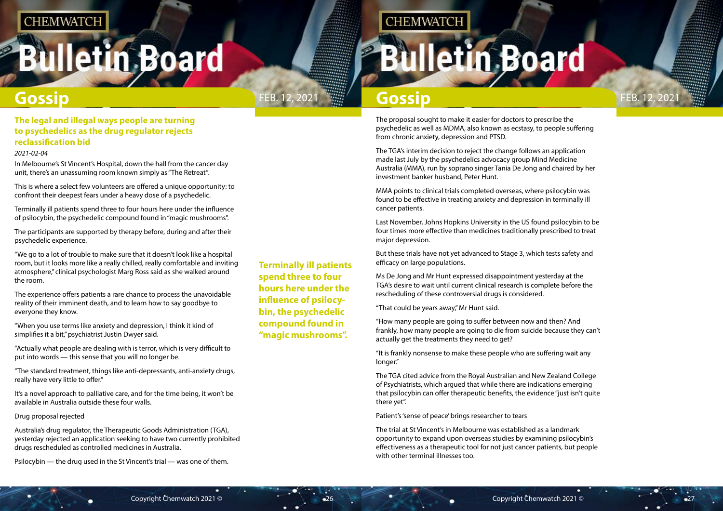# <span id="page-13-0"></span>**Illetin Board**





# **Terminally ill patients spend three to four hours here under the influence of psilocybin, the psychedelic compound found in "magic mushrooms".**

# **CHEMWATCH**

# **Iletin Board**

The proposal sought to make it easier for doctors to prescribe the psychedelic as well as MDMA, also known as ecstasy, to people suffering from chronic anxiety, depression and PTSD.

The TGA's interim decision to reject the change follows an application made last July by the psychedelics advocacy group Mind Medicine Australia (MMA), run by soprano singer Tania De Jong and chaired by her investment banker husband, Peter Hunt.

MMA points to clinical trials completed overseas, where psilocybin was found to be effective in treating anxiety and depression in terminally ill cancer patients.

Last November, Johns Hopkins University in the US found psilocybin to be four times more effective than medicines traditionally prescribed to treat major depression.

But these trials have not yet advanced to Stage 3, which tests safety and efficacy on large populations.

Ms De Jong and Mr Hunt expressed disappointment yesterday at the TGA's desire to wait until current clinical research is complete before the rescheduling of these controversial drugs is considered.

"That could be years away," Mr Hunt said.

"How many people are going to suffer between now and then? And frankly, how many people are going to die from suicide because they can't actually get the treatments they need to get?

"It is frankly nonsense to make these people who are suffering wait any longer."

The TGA cited advice from the Royal Australian and New Zealand College of Psychiatrists, which argued that while there are indications emerging that psilocybin can offer therapeutic benefits, the evidence "just isn't quite there yet".

Patient's 'sense of peace' brings researcher to tears

The trial at St Vincent's in Melbourne was established as a landmark opportunity to expand upon overseas studies by examining psilocybin's effectiveness as a therapeutic tool for not just cancer patients, but people with other terminal illnesses too.

# **The legal and illegal ways people are turning to psychedelics as the drug regulator rejects reclassification bid**

## *2021-02-04*

In Melbourne's St Vincent's Hospital, down the hall from the cancer day unit, there's an unassuming room known simply as "The Retreat".

This is where a select few volunteers are offered a unique opportunity: to confront their deepest fears under a heavy dose of a psychedelic.

Terminally ill patients spend three to four hours here under the influence of psilocybin, the psychedelic compound found in "magic mushrooms".

The participants are supported by therapy before, during and after their psychedelic experience.

"We go to a lot of trouble to make sure that it doesn't look like a hospital room, but it looks more like a really chilled, really comfortable and inviting atmosphere," clinical psychologist Marg Ross said as she walked around the room.

The experience offers patients a rare chance to process the unavoidable reality of their imminent death, and to learn how to say goodbye to everyone they know.

"When you use terms like anxiety and depression, I think it kind of simplifies it a bit," psychiatrist Justin Dwyer said.

"Actually what people are dealing with is terror, which is very difficult to put into words — this sense that you will no longer be.

"The standard treatment, things like anti-depressants, anti-anxiety drugs, really have very little to offer."

It's a novel approach to palliative care, and for the time being, it won't be available in Australia outside these four walls.

Drug proposal rejected

Australia's drug regulator, the Therapeutic Goods Administration (TGA), yesterday rejected an application seeking to have two currently prohibited drugs rescheduled as controlled medicines in Australia.

Psilocybin — the drug used in the St Vincent's trial — was one of them.

# **Gossip**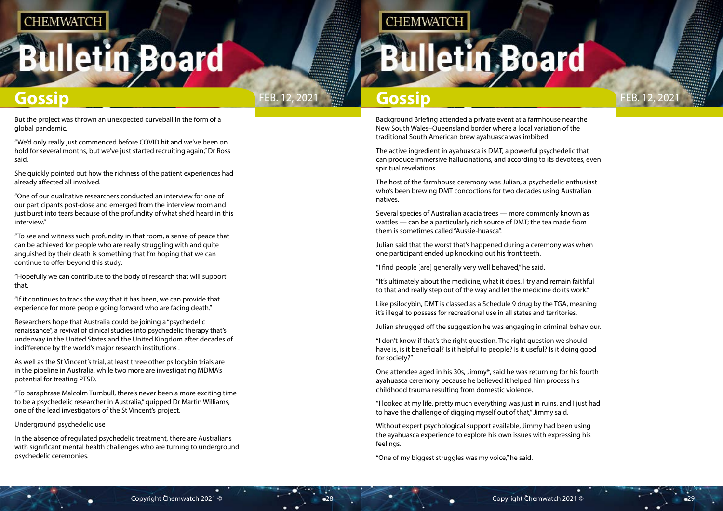# **lletin Board**



Background Briefing attended a private event at a farmhouse near the New South Wales–Queensland border where a local variation of the traditional South American brew ayahuasca was imbibed.

The active ingredient in ayahuasca is DMT, a powerful psychedelic that can produce immersive hallucinations, and according to its devotees, even spiritual revelations.

The host of the farmhouse ceremony was Julian, a psychedelic enthusiast who's been brewing DMT concoctions for two decades using Australian natives.

Several species of Australian acacia trees — more commonly known as wattles — can be a particularly rich source of DMT; the tea made from them is sometimes called "Aussie-huasca".

Julian said that the worst that's happened during a ceremony was when one participant ended up knocking out his front teeth.

"I looked at my life, pretty much everything was just in ruins, and I just had to have the challenge of digging myself out of that," Jimmy said.

"I find people [are] generally very well behaved," he said.

"It's ultimately about the medicine, what it does. I try and remain faithful to that and really step out of the way and let the medicine do its work."

Like psilocybin, DMT is classed as a Schedule 9 drug by the TGA, meaning it's illegal to possess for recreational use in all states and territories.

Julian shrugged off the suggestion he was engaging in criminal behaviour.

"I don't know if that's the right question. The right question we should have is, is it beneficial? Is it helpful to people? Is it useful? Is it doing good for society?"

One attendee aged in his 30s, Jimmy\*, said he was returning for his fourth ayahuasca ceremony because he believed it helped him process his childhood trauma resulting from domestic violence.

Without expert psychological support available, Jimmy had been using the ayahuasca experience to explore his own issues with expressing his feelings.

"One of my biggest struggles was my voice," he said.

But the project was thrown an unexpected curveball in the form of a global pandemic.

"We'd only really just commenced before COVID hit and we've been on hold for several months, but we've just started recruiting again," Dr Ross said.

She quickly pointed out how the richness of the patient experiences had already affected all involved.

"One of our qualitative researchers conducted an interview for one of our participants post-dose and emerged from the interview room and just burst into tears because of the profundity of what she'd heard in this interview."

"To see and witness such profundity in that room, a sense of peace that can be achieved for people who are really struggling with and quite anguished by their death is something that I'm hoping that we can continue to offer beyond this study.

"Hopefully we can contribute to the body of research that will support that.

"If it continues to track the way that it has been, we can provide that experience for more people going forward who are facing death."

Researchers hope that Australia could be joining a "psychedelic renaissance", a revival of clinical studies into psychedelic therapy that's underway in the United States and the United Kingdom after decades of indifference by the world's major research institutions .

As well as the St Vincent's trial, at least three other psilocybin trials are in the pipeline in Australia, while two more are investigating MDMA's potential for treating PTSD.

"To paraphrase Malcolm Turnbull, there's never been a more exciting time to be a psychedelic researcher in Australia," quipped Dr Martin Williams, one of the lead investigators of the St Vincent's project.

Underground psychedelic use

In the absence of regulated psychedelic treatment, there are Australians with significant mental health challenges who are turning to underground psychedelic ceremonies.

**CHEMWATCH**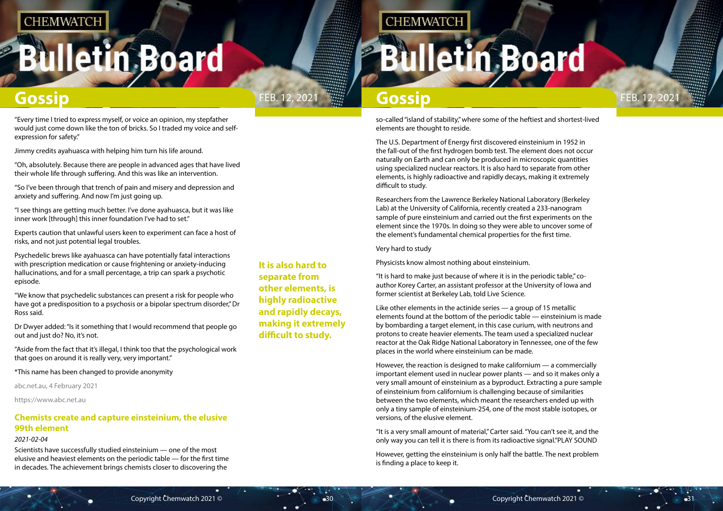# **Illetin Board**

<span id="page-15-0"></span>

# **It is also hard to separate from other elements, is highly radioactive and rapidly decays, making it extremely difficult to study.**

**CHEMWATCH** 

so-called "island of stability," where some of the heftiest and shortest-lived elements are thought to reside.

The U.S. Department of Energy first discovered einsteinium in 1952 in the fall-out of the first hydrogen bomb test. The element does not occur naturally on Earth and can only be produced in microscopic quantities using specialized nuclear reactors. It is also hard to separate from other elements, is highly radioactive and rapidly decays, making it extremely difficult to study.

Researchers from the Lawrence Berkeley National Laboratory (Berkeley Lab) at the University of California, recently created a 233-nanogram sample of pure einsteinium and carried out the first experiments on the element since the 1970s. In doing so they were able to uncover some of the element's fundamental chemical properties for the first time.

Very hard to study

Physicists know almost nothing about einsteinium.

"It is hard to make just because of where it is in the periodic table," coauthor Korey Carter, an assistant professor at the University of Iowa and former scientist at Berkeley Lab, told Live Science.

"I see things are getting much better. I've done ayahuasca, but it was like inner work [through] this inner foundation I've had to set."

> Like other elements in the actinide series — a group of 15 metallic elements found at the bottom of the periodic table — einsteinium is made by bombarding a target element, in this case curium, with neutrons and protons to create heavier elements. The team used a specialized nuclear reactor at the Oak Ridge National Laboratory in Tennessee, one of the few places in the world where einsteinium can be made.

> However, the reaction is designed to make californium — a commercially important element used in nuclear power plants — and so it makes only a very small amount of einsteinium as a byproduct. Extracting a pure sample of einsteinium from californium is challenging because of similarities between the two elements, which meant the researchers ended up with only a tiny sample of einsteinium-254, one of the most stable isotopes, or versions, of the elusive element.

"It is a very small amount of material," Carter said. "You can't see it, and the only way you can tell it is there is from its radioactive signal."PLAY SOUND

However, getting the einsteinium is only half the battle. The next problem is finding a place to keep it.

"Every time I tried to express myself, or voice an opinion, my stepfather would just come down like the ton of bricks. So I traded my voice and selfexpression for safety."

Jimmy credits ayahuasca with helping him turn his life around.

"Oh, absolutely. Because there are people in advanced ages that have lived their whole life through suffering. And this was like an intervention.

"So I've been through that trench of pain and misery and depression and anxiety and suffering. And now I'm just going up.

Experts caution that unlawful users keen to experiment can face a host of risks, and not just potential legal troubles.

Psychedelic brews like ayahuasca can have potentially fatal interactions with prescription medication or cause frightening or anxiety-inducing hallucinations, and for a small percentage, a trip can spark a psychotic episode.

"We know that psychedelic substances can present a risk for people who have got a predisposition to a psychosis or a bipolar spectrum disorder," Dr Ross said.

Dr Dwyer added: "Is it something that I would recommend that people go out and just do? No, it's not.

"Aside from the fact that it's illegal, I think too that the psychological work that goes on around it is really very, very important."

\*This name has been changed to provide anonymity

abc.net.au, 4 February 2021

https://www.abc.net.au

## **Chemists create and capture einsteinium, the elusive 99th element**

### *2021-02-04*

Scientists have successfully studied einsteinium — one of the most elusive and heaviest elements on the periodic table — for the first time in decades. The achievement brings chemists closer to discovering the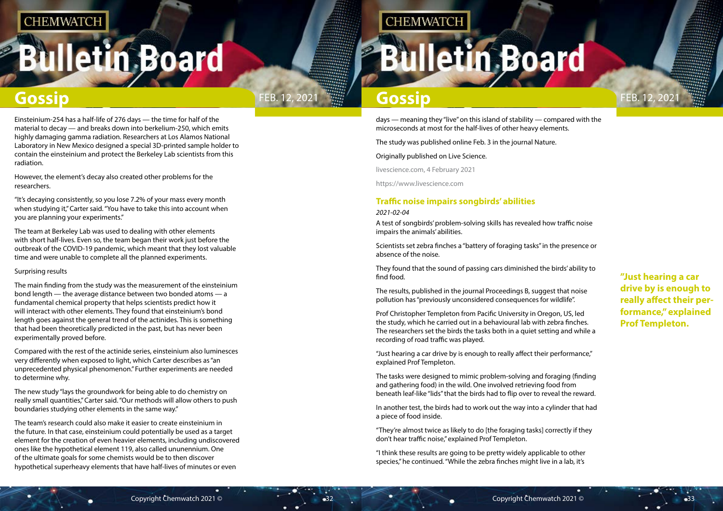# **Iletin Board**

<span id="page-16-0"></span>

**"Just hearing a car drive by is enough to really affect their performance," explained Prof Templeton.**

days — meaning they "live" on this island of stability — compared with the microseconds at most for the half-lives of other heavy elements.

The study was published online Feb. 3 in the journal Nature.

Originally published on Live Science.

livescience.com, 4 February 2021

https://www.livescience.com

# **Traffic noise impairs songbirds' abilities**

### *2021-02-04*

A test of songbirds' problem-solving skills has revealed how traffic noise impairs the animals' abilities.

Scientists set zebra finches a "battery of foraging tasks" in the presence or absence of the noise.

They found that the sound of passing cars diminished the birds' ability to find food.

The results, published in the journal Proceedings B, suggest that noise pollution has "previously unconsidered consequences for wildlife".

Prof Christopher Templeton from Pacific University in Oregon, US, led the study, which he carried out in a behavioural lab with zebra finches. The researchers set the birds the tasks both in a quiet setting and while a recording of road traffic was played.

"Just hearing a car drive by is enough to really affect their performance," explained Prof Templeton.

The tasks were designed to mimic problem-solving and foraging (finding and gathering food) in the wild. One involved retrieving food from beneath leaf-like "lids" that the birds had to flip over to reveal the reward.

In another test, the birds had to work out the way into a cylinder that had a piece of food inside.

"They're almost twice as likely to do [the foraging tasks] correctly if they don't hear traffic noise," explained Prof Templeton.

"I think these results are going to be pretty widely applicable to other species," he continued. "While the zebra finches might live in a lab, it's

Einsteinium-254 has a half-life of 276 days — the time for half of the material to decay — and breaks down into berkelium-250, which emits highly damaging gamma radiation. Researchers at Los Alamos National Laboratory in New Mexico designed a special 3D-printed sample holder to contain the einsteinium and protect the Berkeley Lab scientists from this radiation.

However, the element's decay also created other problems for the researchers.

"It's decaying consistently, so you lose 7.2% of your mass every month when studying it," Carter said. "You have to take this into account when you are planning your experiments."

The team at Berkeley Lab was used to dealing with other elements with short half-lives. Even so, the team began their work just before the outbreak of the COVID-19 pandemic, which meant that they lost valuable time and were unable to complete all the planned experiments.

### Surprising results

The main finding from the study was the measurement of the einsteinium bond length — the average distance between two bonded atoms — a fundamental chemical property that helps scientists predict how it will interact with other elements. They found that einsteinium's bond length goes against the general trend of the actinides. This is something that had been theoretically predicted in the past, but has never been experimentally proved before.

Compared with the rest of the actinide series, einsteinium also luminesces very differently when exposed to light, which Carter describes as "an unprecedented physical phenomenon." Further experiments are needed to determine why.

The new study "lays the groundwork for being able to do chemistry on really small quantities," Carter said. "Our methods will allow others to push boundaries studying other elements in the same way."

The team's research could also make it easier to create einsteinium in the future. In that case, einsteinium could potentially be used as a target element for the creation of even heavier elements, including undiscovered ones like the hypothetical element 119, also called ununennium. One of the ultimate goals for some chemists would be to then discover hypothetical superheavy elements that have half-lives of minutes or even

# **CHEMWATCH**

**lletin Board**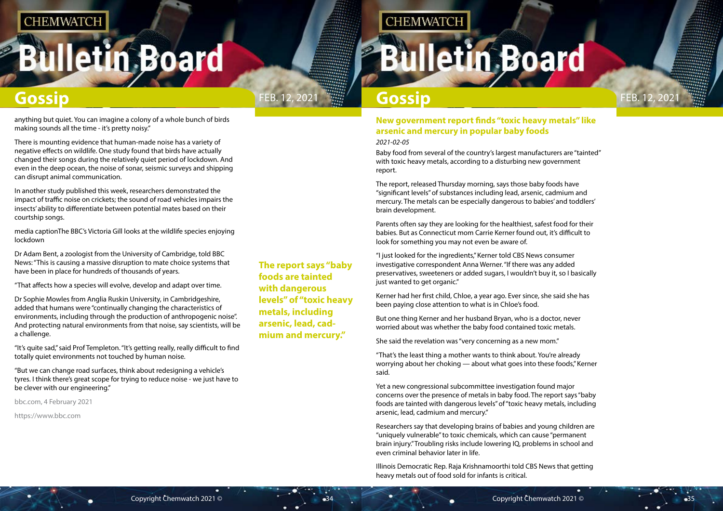# **Illetin Board**

<span id="page-17-0"></span>

**The report says "baby foods are tainted with dangerous levels" of "toxic heavy metals, including arsenic, lead, cadmium and mercury."**

**CHEMWATCH** 

## **New government report finds "toxic heavy metals" like arsenic and mercury in popular baby foods** *2021-02-05*

Baby food from several of the country's largest manufacturers are "tainted" with toxic heavy metals, according to a disturbing new government report.

The report, released Thursday morning, says those baby foods have "significant levels" of substances including lead, arsenic, cadmium and mercury. The metals can be especially dangerous to babies' and toddlers' brain development.

Parents often say they are looking for the healthiest, safest food for their babies. But as Connecticut mom Carrie Kerner found out, it's difficult to look for something you may not even be aware of.

"I just looked for the ingredients," Kerner told CBS News consumer investigative correspondent Anna Werner. "If there was any added preservatives, sweeteners or added sugars, I wouldn't buy it, so I basically just wanted to get organic."

Kerner had her first child, Chloe, a year ago. Ever since, she said she has been paying close attention to what is in Chloe's food.

But one thing Kerner and her husband Bryan, who is a doctor, never worried about was whether the baby food contained toxic metals.

She said the revelation was "very concerning as a new mom."

"That's the least thing a mother wants to think about. You're already worrying about her choking — about what goes into these foods," Kerner said.

Yet a new congressional subcommittee investigation found major concerns over the presence of metals in baby food. The report says "baby foods are tainted with dangerous levels" of "toxic heavy metals, including arsenic, lead, cadmium and mercury."

Researchers say that developing brains of babies and young children are "uniquely vulnerable" to toxic chemicals, which can cause "permanent brain injury." Troubling risks include lowering IQ, problems in school and even criminal behavior later in life.

Illinois Democratic Rep. Raja Krishnamoorthi told CBS News that getting heavy metals out of food sold for infants is critical.

anything but quiet. You can imagine a colony of a whole bunch of birds making sounds all the time - it's pretty noisy."

There is mounting evidence that human-made noise has a variety of negative effects on wildlife. One study found that birds have actually changed their songs during the relatively quiet period of lockdown. And even in the deep ocean, the noise of sonar, seismic surveys and shipping can disrupt animal communication.

In another study published this week, researchers demonstrated the impact of traffic noise on crickets; the sound of road vehicles impairs the insects' ability to differentiate between potential mates based on their courtship songs.

media captionThe BBC's Victoria Gill looks at the wildlife species enjoying lockdown

Dr Adam Bent, a zoologist from the University of Cambridge, told BBC News: "This is causing a massive disruption to mate choice systems that have been in place for hundreds of thousands of years.

"That affects how a species will evolve, develop and adapt over time.

Dr Sophie Mowles from Anglia Ruskin University, in Cambridgeshire, added that humans were "continually changing the characteristics of environments, including through the production of anthropogenic noise". And protecting natural environments from that noise, say scientists, will be a challenge.

"It's quite sad," said Prof Templeton. "It's getting really, really difficult to find totally quiet environments not touched by human noise.

"But we can change road surfaces, think about redesigning a vehicle's tyres. I think there's great scope for trying to reduce noise - we just have to be clever with our engineering."

bbc.com, 4 February 2021

https://www.bbc.com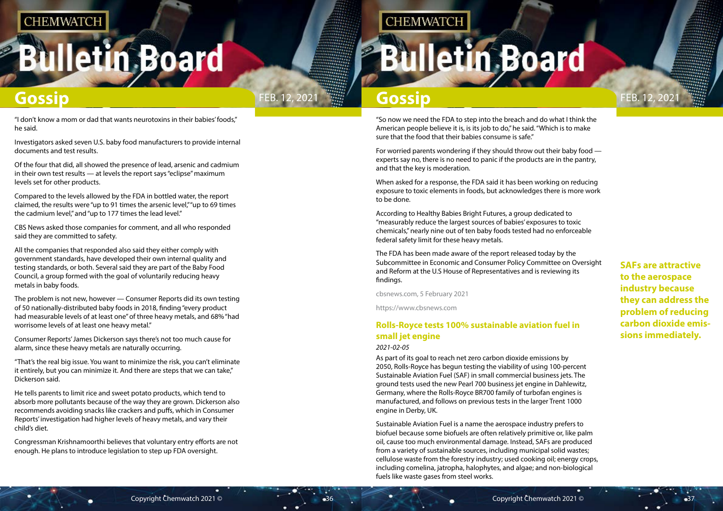# **Illetin Board**

**CHEMWATCH** 

<span id="page-18-0"></span>

**SAFs are attractive to the aerospace industry because they can address the problem of reducing carbon dioxide emissions immediately.**

"So now we need the FDA to step into the breach and do what I think the American people believe it is, is its job to do," he said. "Which is to make sure that the food that their babies consume is safe."

For worried parents wondering if they should throw out their baby food experts say no, there is no need to panic if the products are in the pantry, and that the key is moderation.

When asked for a response, the FDA said it has been working on reducing exposure to toxic elements in foods, but acknowledges there is more work to be done.

According to Healthy Babies Bright Futures, a group dedicated to "measurably reduce the largest sources of babies' exposures to toxic chemicals," nearly nine out of ten baby foods tested had no enforceable federal safety limit for these heavy metals.

The FDA has been made aware of the report released today by the Subcommittee in Economic and Consumer Policy Committee on Oversight and Reform at the U.S House of Representatives and is reviewing its findings.

cbsnews.com, 5 February 2021

https://www.cbsnews.com

# **Rolls-Royce tests 100% sustainable aviation fuel in small jet engine**

*2021-02-05*

As part of its goal to reach net zero carbon dioxide emissions by 2050, Rolls-Royce has begun testing the viability of using 100-percent Sustainable Aviation Fuel (SAF) in small commercial business jets. The ground tests used the new Pearl 700 business jet engine in Dahlewitz, Germany, where the Rolls-Royce BR700 family of turbofan engines is manufactured, and follows on previous tests in the larger Trent 1000 engine in Derby, UK.

Sustainable Aviation Fuel is a name the aerospace industry prefers to biofuel because some biofuels are often relatively primitive or, like palm oil, cause too much environmental damage. Instead, SAFs are produced from a variety of sustainable sources, including municipal solid wastes; cellulose waste from the forestry industry; used cooking oil; energy crops, including comelina, jatropha, halophytes, and algae; and non-biological fuels like waste gases from steel works.

"I don't know a mom or dad that wants neurotoxins in their babies' foods," he said.

Investigators asked seven U.S. baby food manufacturers to provide internal documents and test results.

Of the four that did, all showed the presence of lead, arsenic and cadmium in their own test results — at levels the report says "eclipse" maximum levels set for other products.

Compared to the levels allowed by the FDA in bottled water, the report claimed, the results were "up to 91 times the arsenic level," "up to 69 times the cadmium level," and "up to 177 times the lead level."

CBS News asked those companies for comment, and all who responded said they are committed to safety.

All the companies that responded also said they either comply with government standards, have developed their own internal quality and testing standards, or both. Several said they are part of the Baby Food Council, a group formed with the goal of voluntarily reducing heavy metals in baby foods.

The problem is not new, however — Consumer Reports did its own testing of 50 nationally-distributed baby foods in 2018, finding "every product had measurable levels of at least one" of three heavy metals, and 68% "had worrisome levels of at least one heavy metal."

Consumer Reports' James Dickerson says there's not too much cause for alarm, since these heavy metals are naturally occurring.

"That's the real big issue. You want to minimize the risk, you can't eliminate it entirely, but you can minimize it. And there are steps that we can take," Dickerson said.

He tells parents to limit rice and sweet potato products, which tend to absorb more pollutants because of the way they are grown. Dickerson also recommends avoiding snacks like crackers and puffs, which in Consumer Reports' investigation had higher levels of heavy metals, and vary their child's diet.

Congressman Krishnamoorthi believes that voluntary entry efforts are not enough. He plans to introduce legislation to step up FDA oversight.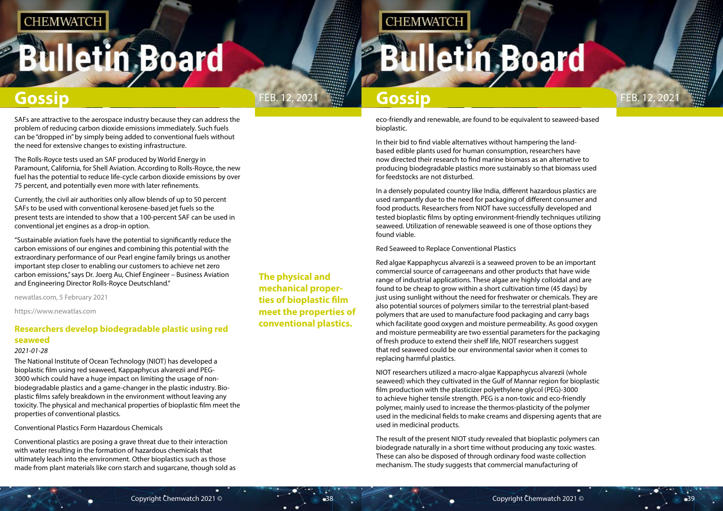# **Illetin Board**

<span id="page-19-0"></span>

# **The physical and mechanical properties of bioplastic film meet the properties of conventional plastics.**

# **CHEMWATCH**

# **Iletin Board**

eco-friendly and renewable, are found to be equivalent to seaweed-based bioplastic.

In their bid to find viable alternatives without hampering the landbased edible plants used for human consumption, researchers have now directed their research to find marine biomass as an alternative to producing biodegradable plastics more sustainably so that biomass used for feedstocks are not disturbed.

In a densely populated country like India, different hazardous plastics are used rampantly due to the need for packaging of different consumer and food products. Researchers from NIOT have successfully developed and tested bioplastic films by opting environment-friendly techniques utilizing seaweed. Utilization of renewable seaweed is one of those options they found viable.

Red Seaweed to Replace Conventional Plastics

Red algae Kappaphycus alvarezii is a seaweed proven to be an important commercial source of carrageenans and other products that have wide range of industrial applications. These algae are highly colloidal and are found to be cheap to grow within a short cultivation time (45 days) by just using sunlight without the need for freshwater or chemicals. They are also potential sources of polymers similar to the terrestrial plant-based polymers that are used to manufacture food packaging and carry bags which facilitate good oxygen and moisture permeability. As good oxygen and moisture permeability are two essential parameters for the packaging of fresh produce to extend their shelf life, NIOT researchers suggest that red seaweed could be our environmental savior when it comes to replacing harmful plastics.

NIOT researchers utilized a macro-algae Kappaphycus alvarezii (whole seaweed) which they cultivated in the Gulf of Mannar region for bioplastic film production with the plasticizer polyethylene glycol (PEG)-3000 to achieve higher tensile strength. PEG is a non-toxic and eco-friendly polymer, mainly used to increase the thermos-plasticity of the polymer used in the medicinal fields to make creams and dispersing agents that are used in medicinal products.

The result of the present NIOT study revealed that bioplastic polymers can biodegrade naturally in a short time without producing any toxic wastes. These can also be disposed of through ordinary food waste collection mechanism. The study suggests that commercial manufacturing of

SAFs are attractive to the aerospace industry because they can address the problem of reducing carbon dioxide emissions immediately. Such fuels can be "dropped in" by simply being added to conventional fuels without the need for extensive changes to existing infrastructure.

The Rolls-Royce tests used an SAF produced by World Energy in Paramount, California, for Shell Aviation. According to Rolls-Royce, the new fuel has the potential to reduce life-cycle carbon dioxide emissions by over 75 percent, and potentially even more with later refinements.

Currently, the civil air authorities only allow blends of up to 50 percent SAFs to be used with conventional kerosene-based jet fuels so the present tests are intended to show that a 100-percent SAF can be used in conventional jet engines as a drop-in option.

"Sustainable aviation fuels have the potential to significantly reduce the carbon emissions of our engines and combining this potential with the extraordinary performance of our Pearl engine family brings us another important step closer to enabling our customers to achieve net zero carbon emissions," says Dr. Joerg Au, Chief Engineer – Business Aviation and Engineering Director Rolls-Royce Deutschland."

newatlas.com, 5 February 2021

https://www.newatlas.com

## **Researchers develop biodegradable plastic using red seaweed**

### *2021-01-28*

The National Institute of Ocean Technology (NIOT) has developed a bioplastic film using red seaweed, Kappaphycus alvarezii and PEG-3000 which could have a huge impact on limiting the usage of nonbiodegradable plastics and a game-changer in the plastic industry. Bioplastic films safely breakdown in the environment without leaving any toxicity. The physical and mechanical properties of bioplastic film meet the properties of conventional plastics.

Conventional Plastics Form Hazardous Chemicals

Conventional plastics are posing a grave threat due to their interaction with water resulting in the formation of hazardous chemicals that ultimately leach into the environment. Other bioplastics such as those made from plant materials like corn starch and sugarcane, though sold as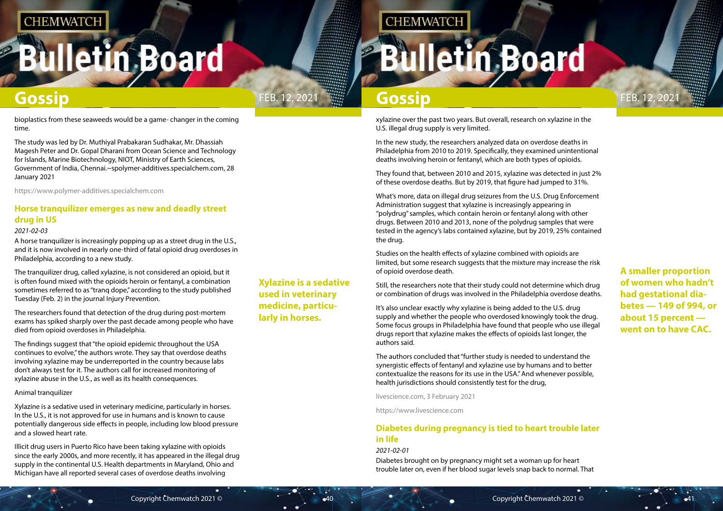# **Bulletin Board**

**A smaller proportion of women who hadn't had gestational diabetes — 149 of 994, or about 15 percent went on to have CAC.**

<span id="page-20-0"></span>

# **Xylazine is a sedative used in veterinary medicine, particularly in horses.**

**CHEMWATCH** 

xylazine over the past two years. But overall, research on xylazine in the U.S. illegal drug supply is very limited.

In the new study, the researchers analyzed data on overdose deaths in Philadelphia from 2010 to 2019. Specifically, they examined unintentional deaths involving heroin or fentanyl, which are both types of opioids.

They found that, between 2010 and 2015, xylazine was detected in just 2% of these overdose deaths. But by 2019, that figure had jumped to 31%.

What's more, data on illegal drug seizures from the U.S. Drug Enforcement Administration suggest that xylazine is increasingly appearing in "polydrug" samples, which contain heroin or fentanyl along with other drugs. Between 2010 and 2013, none of the polydrug samples that were tested in the agency's labs contained xylazine, but by 2019, 25% contained the drug.

Studies on the health effects of xylazine combined with opioids are limited, but some research suggests that the mixture may increase the risk of opioid overdose death.

Still, the researchers note that their study could not determine which drug or combination of drugs was involved in the Philadelphia overdose deaths.

It's also unclear exactly why xylazine is being added to the U.S. drug supply and whether the people who overdosed knowingly took the drug. Some focus groups in Philadelphia have found that people who use illegal drugs report that xylazine makes the effects of opioids last longer, the authors said.

The authors concluded that "further study is needed to understand the synergistic effects of fentanyl and xylazine use by humans and to better contextualize the reasons for its use in the USA." And whenever possible, health jurisdictions should consistently test for the drug,

livescience.com, 3 February 2021

https://www.livescience.com

## **Diabetes during pregnancy is tied to heart trouble later in life**

### *2021-02-01*

Diabetes brought on by pregnancy might set a woman up for heart trouble later on, even if her blood sugar levels snap back to normal. That

bioplastics from these seaweeds would be a game- changer in the coming time.

The study was led by Dr. Muthiyal Prabakaran Sudhakar, Mr. Dhassiah Magesh Peter and Dr. Gopal Dharani from Ocean Science and Technology for Islands, Marine Biotechnology, NIOT, Ministry of Earth Sciences, Government of India, Chennai.~spolymer-additives.specialchem.com, 28 January 2021

https://www.polymer-additives.specialchem.com

# **Horse tranquilizer emerges as new and deadly street drug in US**

### *2021-02-03*

A horse tranquilizer is increasingly popping up as a street drug in the U.S., and it is now involved in nearly one-third of fatal opioid drug overdoses in Philadelphia, according to a new study.

The tranquilizer drug, called xylazine, is not considered an opioid, but it is often found mixed with the opioids heroin or fentanyl, a combination sometimes referred to as "tranq dope," according to the study published Tuesday (Feb. 2) in the journal Injury Prevention.

The researchers found that detection of the drug during post-mortem exams has spiked sharply over the past decade among people who have died from opioid overdoses in Philadelphia.

The findings suggest that "the opioid epidemic throughout the USA continues to evolve," the authors wrote. They say that overdose deaths involving xylazine may be underreported in the country because labs don't always test for it. The authors call for increased monitoring of xylazine abuse in the U.S., as well as its health consequences.

### Animal tranquilizer

Xylazine is a sedative used in veterinary medicine, particularly in horses. In the U.S., it is not approved for use in humans and is known to cause potentially dangerous side effects in people, including low blood pressure and a slowed heart rate.

Illicit drug users in Puerto Rico have been taking xylazine with opioids since the early 2000s, and more recently, it has appeared in the illegal drug supply in the continental U.S. Health departments in Maryland, Ohio and Michigan have all reported several cases of overdose deaths involving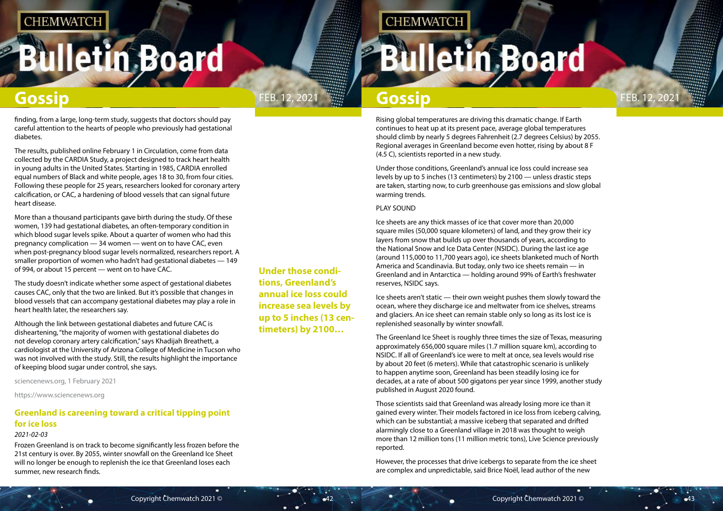# **Bulletin Board**

<span id="page-21-0"></span>

# **Under those conditions, Greenland's annual ice loss could increase sea levels by up to 5 inches (13 centimeters) by 2100…**

# **CHEMWATCH**

# **Illetin Board**

Rising global temperatures are driving this dramatic change. If Earth continues to heat up at its present pace, average global temperatures should climb by nearly 5 degrees Fahrenheit (2.7 degrees Celsius) by 2055. Regional averages in Greenland become even hotter, rising by about 8 F (4.5 C), scientists reported in a new study.

Under those conditions, Greenland's annual ice loss could increase sea levels by up to 5 inches (13 centimeters) by 2100 — unless drastic steps are taken, starting now, to curb greenhouse gas emissions and slow global warming trends.

## PLAY SOUND

Ice sheets are any thick masses of ice that cover more than 20,000 square miles (50,000 square kilometers) of land, and they grow their icy layers from snow that builds up over thousands of years, according to the National Snow and Ice Data Center (NSIDC). During the last ice age (around 115,000 to 11,700 years ago), ice sheets blanketed much of North America and Scandinavia. But today, only two ice sheets remain — in Greenland and in Antarctica — holding around 99% of Earth's freshwater reserves, NSIDC says.

Ice sheets aren't static — their own weight pushes them slowly toward the ocean, where they discharge ice and meltwater from ice shelves, streams and glaciers. An ice sheet can remain stable only so long as its lost ice is replenished seasonally by winter snowfall.

The Greenland Ice Sheet is roughly three times the size of Texas, measuring approximately 656,000 square miles (1.7 million square km), according to NSIDC. If all of Greenland's ice were to melt at once, sea levels would rise by about 20 feet (6 meters). While that catastrophic scenario is unlikely to happen anytime soon, Greenland has been steadily losing ice for decades, at a rate of about 500 gigatons per year since 1999, another study published in August 2020 found.

Those scientists said that Greenland was already losing more ice than it gained every winter. Their models factored in ice loss from iceberg calving, which can be substantial; a massive iceberg that separated and drifted alarmingly close to a Greenland village in 2018 was thought to weigh more than 12 million tons (11 million metric tons), Live Science previously reported.

However, the processes that drive icebergs to separate from the ice sheet are complex and unpredictable, said Brice Noël, lead author of the new

finding, from a large, long-term study, suggests that doctors should pay careful attention to the hearts of people who previously had gestational diabetes.

The results, published online February 1 in Circulation, come from data collected by the CARDIA Study, a project designed to track heart health in young adults in the United States. Starting in 1985, CARDIA enrolled equal numbers of Black and white people, ages 18 to 30, from four cities. Following these people for 25 years, researchers looked for coronary artery calcification, or CAC, a hardening of blood vessels that can signal future heart disease.

More than a thousand participants gave birth during the study. Of these women, 139 had gestational diabetes, an often-temporary condition in which blood sugar levels spike. About a quarter of women who had this pregnancy complication — 34 women — went on to have CAC, even when post-pregnancy blood sugar levels normalized, researchers report. A smaller proportion of women who hadn't had gestational diabetes — 149 of 994, or about 15 percent — went on to have CAC.

The study doesn't indicate whether some aspect of gestational diabetes causes CAC, only that the two are linked. But it's possible that changes in blood vessels that can accompany gestational diabetes may play a role in heart health later, the researchers say.

Although the link between gestational diabetes and future CAC is disheartening, "the majority of women with gestational diabetes do not develop coronary artery calcification," says Khadijah Breathett, a cardiologist at the University of Arizona College of Medicine in Tucson who was not involved with the study. Still, the results highlight the importance of keeping blood sugar under control, she says.

sciencenews.org, 1 February 2021

https://www.sciencenews.org

# **Greenland is careening toward a critical tipping point for ice loss**

## *2021-02-03*

Frozen Greenland is on track to become significantly less frozen before the 21st century is over. By 2055, winter snowfall on the Greenland Ice Sheet will no longer be enough to replenish the ice that Greenland loses each summer, new research finds.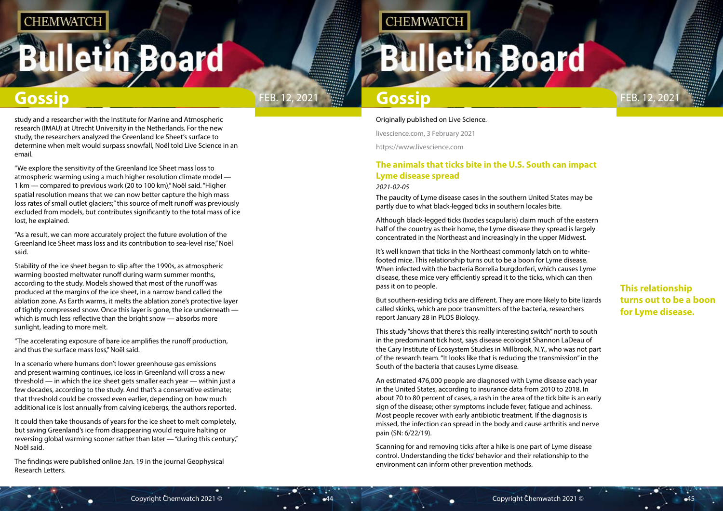# <span id="page-22-0"></span>**Illetin Board**

**Gossip** FEB. 12, 2021 **Gossip Gossip** FEB. 12, 2021

# **This relationship turns out to be a boon for Lyme disease.**

### Originally published on Live Science.

livescience.com, 3 February 2021

**CHEMWATCH** 

https://www.livescience.com

# **The animals that ticks bite in the U.S. South can impact Lyme disease spread**

### *2021-02-05*

The paucity of Lyme disease cases in the southern United States may be partly due to what black-legged ticks in southern locales bite.

Although black-legged ticks (Ixodes scapularis) claim much of the eastern half of the country as their home, the Lyme disease they spread is largely concentrated in the Northeast and increasingly in the upper Midwest.

It's well known that ticks in the Northeast commonly latch on to whitefooted mice. This relationship turns out to be a boon for Lyme disease. When infected with the bacteria Borrelia burgdorferi, which causes Lyme disease, these mice very efficiently spread it to the ticks, which can then pass it on to people.

But southern-residing ticks are different. They are more likely to bite lizards called skinks, which are poor transmitters of the bacteria, researchers report January 28 in PLOS Biology.

This study "shows that there's this really interesting switch" north to south in the predominant tick host, says disease ecologist Shannon LaDeau of the Cary Institute of Ecosystem Studies in Millbrook, N.Y., who was not part of the research team. "It looks like that is reducing the transmission" in the South of the bacteria that causes Lyme disease.

An estimated 476,000 people are diagnosed with Lyme disease each year in the United States, according to insurance data from 2010 to 2018. In about 70 to 80 percent of cases, a rash in the area of the tick bite is an early sign of the disease; other symptoms include fever, fatigue and achiness. Most people recover with early antibiotic treatment. If the diagnosis is missed, the infection can spread in the body and cause arthritis and nerve pain (SN: 6/22/19).

Scanning for and removing ticks after a hike is one part of Lyme disease control. Understanding the ticks' behavior and their relationship to the environment can inform other prevention methods.



study and a researcher with the Institute for Marine and Atmospheric research (IMAU) at Utrecht University in the Netherlands. For the new study, the researchers analyzed the Greenland Ice Sheet's surface to determine when melt would surpass snowfall, Noël told Live Science in an email.

"We explore the sensitivity of the Greenland Ice Sheet mass loss to atmospheric warming using a much higher resolution climate model — 1 km — compared to previous work (20 to 100 km)," Noël said. "Higher spatial resolution means that we can now better capture the high mass loss rates of small outlet glaciers;" this source of melt runoff was previously excluded from models, but contributes significantly to the total mass of ice lost, he explained.

"As a result, we can more accurately project the future evolution of the Greenland Ice Sheet mass loss and its contribution to sea-level rise," Noël said.

Stability of the ice sheet began to slip after the 1990s, as atmospheric warming boosted meltwater runoff during warm summer months, according to the study. Models showed that most of the runoff was produced at the margins of the ice sheet, in a narrow band called the ablation zone. As Earth warms, it melts the ablation zone's protective layer of tightly compressed snow. Once this layer is gone, the ice underneath which is much less reflective than the bright snow — absorbs more sunlight, leading to more melt.

"The accelerating exposure of bare ice amplifies the runoff production, and thus the surface mass loss," Noël said.

In a scenario where humans don't lower greenhouse gas emissions and present warming continues, ice loss in Greenland will cross a new threshold — in which the ice sheet gets smaller each year — within just a few decades, according to the study. And that's a conservative estimate; that threshold could be crossed even earlier, depending on how much additional ice is lost annually from calving icebergs, the authors reported.

It could then take thousands of years for the ice sheet to melt completely, but saving Greenland's ice from disappearing would require halting or reversing global warming sooner rather than later — "during this century," Noël said.

The findings were published online Jan. 19 in the journal Geophysical Research Letters.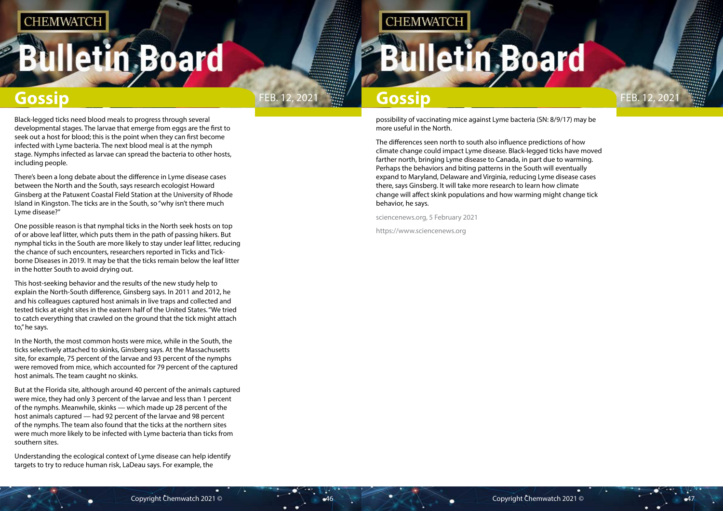# **Iletin Board**





possibility of vaccinating mice against Lyme bacteria (SN: 8/9/17) may be more useful in the North.

The differences seen north to south also influence predictions of how climate change could impact Lyme disease. Black-legged ticks have moved farther north, bringing Lyme disease to Canada, in part due to warming. Perhaps the behaviors and biting patterns in the South will eventually expand to Maryland, Delaware and Virginia, reducing Lyme disease cases there, says Ginsberg. It will take more research to learn how climate change will affect skink populations and how warming might change tick behavior, he says.

sciencenews.org, 5 February 2021

**CHEMWATCH** 

https://www.sciencenews.org

Black-legged ticks need blood meals to progress through several developmental stages. The larvae that emerge from eggs are the first to seek out a host for blood; this is the point when they can first become infected with Lyme bacteria. The next blood meal is at the nymph stage. Nymphs infected as larvae can spread the bacteria to other hosts, including people.

There's been a long debate about the difference in Lyme disease cases between the North and the South, says research ecologist Howard Ginsberg at the Patuxent Coastal Field Station at the University of Rhode Island in Kingston. The ticks are in the South, so "why isn't there much Lyme disease?"

One possible reason is that nymphal ticks in the North seek hosts on top of or above leaf litter, which puts them in the path of passing hikers. But nymphal ticks in the South are more likely to stay under leaf litter, reducing the chance of such encounters, researchers reported in Ticks and Tickborne Diseases in 2019. It may be that the ticks remain below the leaf litter in the hotter South to avoid drying out.

This host-seeking behavior and the results of the new study help to explain the North-South difference, Ginsberg says. In 2011 and 2012, he and his colleagues captured host animals in live traps and collected and tested ticks at eight sites in the eastern half of the United States. "We tried to catch everything that crawled on the ground that the tick might attach to," he says.

In the North, the most common hosts were mice, while in the South, the ticks selectively attached to skinks, Ginsberg says. At the Massachusetts site, for example, 75 percent of the larvae and 93 percent of the nymphs were removed from mice, which accounted for 79 percent of the captured host animals. The team caught no skinks.

But at the Florida site, although around 40 percent of the animals captured were mice, they had only 3 percent of the larvae and less than 1 percent of the nymphs. Meanwhile, skinks — which made up 28 percent of the host animals captured — had 92 percent of the larvae and 98 percent of the nymphs. The team also found that the ticks at the northern sites were much more likely to be infected with Lyme bacteria than ticks from southern sites.

Understanding the ecological context of Lyme disease can help identify targets to try to reduce human risk, LaDeau says. For example, the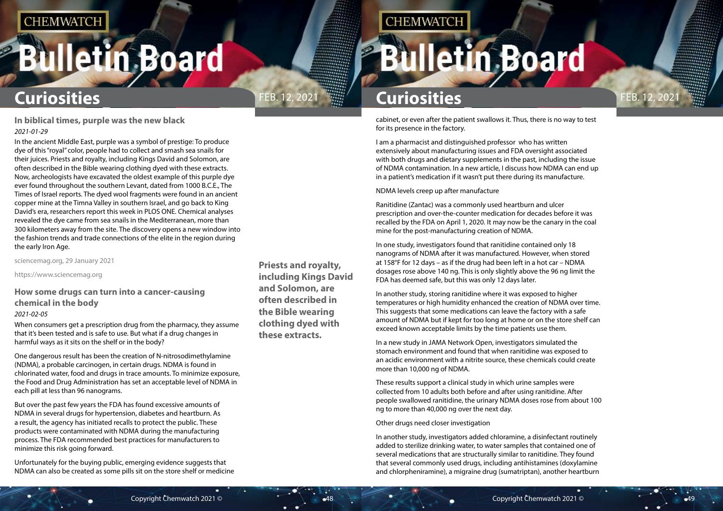# <span id="page-24-0"></span>**Bulletin Board**



**Priests and royalty, including Kings David and Solomon, are often described in the Bible wearing clothing dyed with these extracts.**

**CHEMWATCH** 

cabinet, or even after the patient swallows it. Thus, there is no way to test for its presence in the factory.

I am a pharmacist and distinguished professor who has written extensively about manufacturing issues and FDA oversight associated with both drugs and dietary supplements in the past, including the issue of NDMA contamination. In a new article, I discuss how NDMA can end up in a patient's medication if it wasn't put there during its manufacture.

NDMA levels creep up after manufacture

Ranitidine (Zantac) was a commonly used heartburn and ulcer prescription and over-the-counter medication for decades before it was recalled by the FDA on April 1, 2020. It may now be the canary in the coal mine for the post-manufacturing creation of NDMA.

In one study, investigators found that ranitidine contained only 18 nanograms of NDMA after it was manufactured. However, when stored at 158°F for 12 days – as if the drug had been left in a hot car – NDMA dosages rose above 140 ng. This is only slightly above the 96 ng limit the FDA has deemed safe, but this was only 12 days later.

In another study, storing ranitidine where it was exposed to higher temperatures or high humidity enhanced the creation of NDMA over time. This suggests that some medications can leave the factory with a safe amount of NDMA but if kept for too long at home or on the store shelf can exceed known acceptable limits by the time patients use them.

In a new study in JAMA Network Open, investigators simulated the stomach environment and found that when ranitidine was exposed to an acidic environment with a nitrite source, these chemicals could create more than 10,000 ng of NDMA.

These results support a clinical study in which urine samples were collected from 10 adults both before and after using ranitidine. After people swallowed ranitidine, the urinary NDMA doses rose from about 100 ng to more than 40,000 ng over the next day.

Other drugs need closer investigation

In another study, investigators added chloramine, a disinfectant routinely added to sterilize drinking water, to water samples that contained one of several medications that are structurally similar to ranitidine. They found that several commonly used drugs, including antihistamines (doxylamine and chlorpheniramine), a migraine drug (sumatriptan), another heartburn

# **In biblical times, purple was the new black**

## *2021-01-29*

In the ancient Middle East, purple was a symbol of prestige: To produce dye of this "royal" color, people had to collect and smash sea snails for their juices. Priests and royalty, including Kings David and Solomon, are often described in the Bible wearing clothing dyed with these extracts. Now, archeologists have excavated the oldest example of this purple dye ever found throughout the southern Levant, dated from 1000 B.C.E., The Times of Israel reports. The dyed wool fragments were found in an ancient copper mine at the Timna Valley in southern Israel, and go back to King David's era, researchers report this week in PLOS ONE. Chemical analyses revealed the dye came from sea snails in the Mediterranean, more than 300 kilometers away from the site. The discovery opens a new window into the fashion trends and trade connections of the elite in the region during the early Iron Age.

sciencemag.org, 29 January 2021

https://www.sciencemag.org

# **How some drugs can turn into a cancer-causing chemical in the body**

## *2021-02-05*

When consumers get a prescription drug from the pharmacy, they assume that it's been tested and is safe to use. But what if a drug changes in harmful ways as it sits on the shelf or in the body?

One dangerous result has been the creation of N-nitrosodimethylamine (NDMA), a probable carcinogen, in certain drugs. NDMA is found in chlorinated water, food and drugs in trace amounts. To minimize exposure, the Food and Drug Administration has set an acceptable level of NDMA in each pill at less than 96 nanograms.

But over the past few years the FDA has found excessive amounts of NDMA in several drugs for hypertension, diabetes and heartburn. As a result, the agency has initiated recalls to protect the public. These products were contaminated with NDMA during the manufacturing process. The FDA recommended best practices for manufacturers to minimize this risk going forward.

Unfortunately for the buying public, emerging evidence suggests that NDMA can also be created as some pills sit on the store shelf or medicine

# **Curiosities**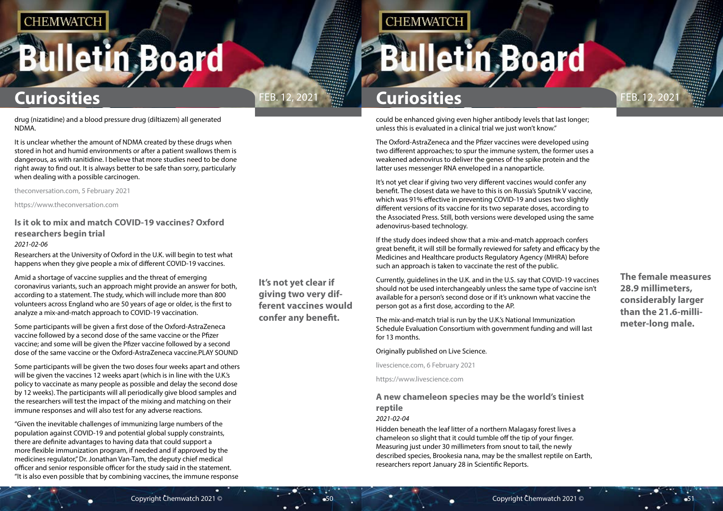# <span id="page-25-0"></span>**Bulletin Board**



**The female measures 28.9 millimeters, considerably larger than the 21.6-millimeter-long male.**

**It's not yet clear if giving two very different vaccines would confer any benefit.**

# **CHEMWATCH**

# **Bulletin Board**

# **Curiosities Curiosities**

could be enhanced giving even higher antibody levels that last longer; unless this is evaluated in a clinical trial we just won't know."

The Oxford-AstraZeneca and the Pfizer vaccines were developed using two different approaches; to spur the immune system, the former uses a weakened adenovirus to deliver the genes of the spike protein and the latter uses messenger RNA enveloped in a nanoparticle.

It's not yet clear if giving two very different vaccines would confer any benefit. The closest data we have to this is on Russia's Sputnik V vaccine, which was 91% effective in preventing COVID-19 and uses two slightly different versions of its vaccine for its two separate doses, according to the Associated Press. Still, both versions were developed using the same adenovirus-based technology.

If the study does indeed show that a mix-and-match approach confers great benefit, it will still be formally reviewed for safety and efficacy by the Medicines and Healthcare products Regulatory Agency (MHRA) before such an approach is taken to vaccinate the rest of the public.

Currently, guidelines in the U.K. and in the U.S. say that COVID-19 vaccines should not be used interchangeably unless the same type of vaccine isn't available for a person's second dose or if it's unknown what vaccine the person got as a first dose, according to the AP.

The mix-and-match trial is run by the U.K.'s National Immunization Schedule Evaluation Consortium with government funding and will last for 13 months.

### Originally published on Live Science.

livescience.com, 6 February 2021

https://www.livescience.com

## **A new chameleon species may be the world's tiniest reptile**

*2021-02-04*

Hidden beneath the leaf litter of a northern Malagasy forest lives a chameleon so slight that it could tumble off the tip of your finger. Measuring just under 30 millimeters from snout to tail, the newly described species, Brookesia nana, may be the smallest reptile on Earth, researchers report January 28 in Scientific Reports.

drug (nizatidine) and a blood pressure drug (diltiazem) all generated NDMA.

It is unclear whether the amount of NDMA created by these drugs when stored in hot and humid environments or after a patient swallows them is dangerous, as with ranitidine. I believe that more studies need to be done right away to find out. It is always better to be safe than sorry, particularly when dealing with a possible carcinogen.

theconversation.com, 5 February 2021

https://www.theconversation.com

# **Is it ok to mix and match COVID-19 vaccines? Oxford researchers begin trial**

### *2021-02-06*

Researchers at the University of Oxford in the U.K. will begin to test what happens when they give people a mix of different COVID-19 vaccines.

Amid a shortage of vaccine supplies and the threat of emerging coronavirus variants, such an approach might provide an answer for both, according to a statement. The study, which will include more than 800 volunteers across England who are 50 years of age or older, is the first to analyze a mix-and-match approach to COVID-19 vaccination.

Some participants will be given a first dose of the Oxford-AstraZeneca vaccine followed by a second dose of the same vaccine or the Pfizer vaccine; and some will be given the Pfizer vaccine followed by a second dose of the same vaccine or the Oxford-AstraZeneca vaccine.PLAY SOUND

Some participants will be given the two doses four weeks apart and others will be given the vaccines 12 weeks apart (which is in line with the U.K.'s policy to vaccinate as many people as possible and delay the second dose by 12 weeks). The participants will all periodically give blood samples and the researchers will test the impact of the mixing and matching on their immune responses and will also test for any adverse reactions.

"Given the inevitable challenges of immunizing large numbers of the population against COVID-19 and potential global supply constraints, there are definite advantages to having data that could support a more flexible immunization program, if needed and if approved by the medicines regulator," Dr. Jonathan Van-Tam, the deputy chief medical officer and senior responsible officer for the study said in the statement. "It is also even possible that by combining vaccines, the immune response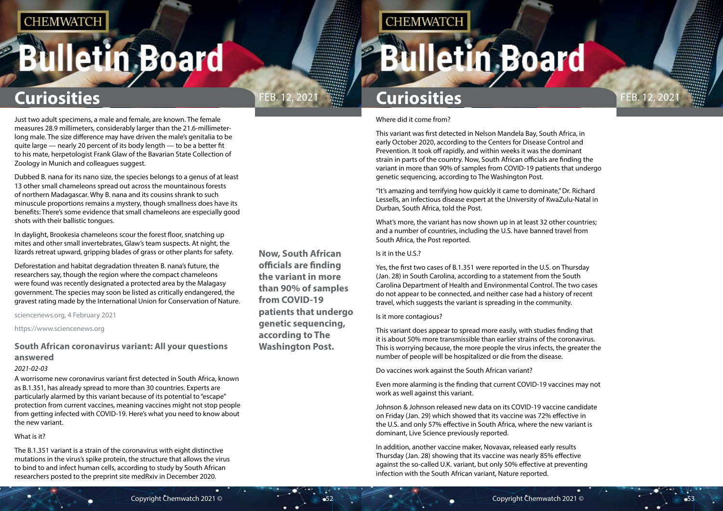# <span id="page-26-0"></span>**Bulletin Board**



# **Now, South African officials are finding the variant in more than 90% of samples from COVID-19 patients that undergo genetic sequencing, according to The Washington Post.**

**CHEMWATCH** 

# **Curiosities Curiosities**

## Where did it come from?

This variant was first detected in Nelson Mandela Bay, South Africa, in early October 2020, according to the Centers for Disease Control and Prevention. It took off rapidly, and within weeks it was the dominant strain in parts of the country. Now, South African officials are finding the variant in more than 90% of samples from COVID-19 patients that undergo genetic sequencing, according to The Washington Post.

"It's amazing and terrifying how quickly it came to dominate," Dr. Richard Lessells, an infectious disease expert at the University of KwaZulu-Natal in Durban, South Africa, told the Post.

What's more, the variant has now shown up in at least 32 other countries; and a number of countries, including the U.S. have banned travel from South Africa, the Post reported.

## Is it in the U.S.?

Yes, the first two cases of B.1.351 were reported in the U.S. on Thursday (Jan. 28) in South Carolina, according to a statement from the South Carolina Department of Health and Environmental Control. The two cases do not appear to be connected, and neither case had a history of recent travel, which suggests the variant is spreading in the community.

### Is it more contagious?

This variant does appear to spread more easily, with studies finding that it is about 50% more transmissible than earlier strains of the coronavirus. This is worrying because, the more people the virus infects, the greater the number of people will be hospitalized or die from the disease.

Do vaccines work against the South African variant?

Even more alarming is the finding that current COVID-19 vaccines may not work as well against this variant.

Johnson & Johnson released new data on its COVID-19 vaccine candidate on Friday (Jan. 29) which showed that its vaccine was 72% effective in the U.S. and only 57% effective in South Africa, where the new variant is dominant, Live Science previously reported.

In addition, another vaccine maker, Novavax, released early results Thursday (Jan. 28) showing that its vaccine was nearly 85% effective against the so-called U.K. variant, but only 50% effective at preventing infection with the South African variant, Nature reported.

Just two adult specimens, a male and female, are known. The female measures 28.9 millimeters, considerably larger than the 21.6-millimeterlong male. The size difference may have driven the male's genitalia to be quite large — nearly 20 percent of its body length — to be a better fit to his mate, herpetologist Frank Glaw of the Bavarian State Collection of Zoology in Munich and colleagues suggest.

Dubbed B. nana for its nano size, the species belongs to a genus of at least 13 other small chameleons spread out across the mountainous forests of northern Madagascar. Why B. nana and its cousins shrank to such minuscule proportions remains a mystery, though smallness does have its benefits: There's some evidence that small chameleons are especially good shots with their ballistic tongues.

In daylight, Brookesia chameleons scour the forest floor, snatching up mites and other small invertebrates, Glaw's team suspects. At night, the lizards retreat upward, gripping blades of grass or other plants for safety.

Deforestation and habitat degradation threaten B. nana's future, the researchers say, though the region where the compact chameleons were found was recently designated a protected area by the Malagasy government. The species may soon be listed as critically endangered, the gravest rating made by the International Union for Conservation of Nature.

sciencenews.org, 4 February 2021

https://www.sciencenews.org

# **South African coronavirus variant: All your questions answered**

### *2021-02-03*

A worrisome new coronavirus variant first detected in South Africa, known as B.1.351, has already spread to more than 30 countries. Experts are particularly alarmed by this variant because of its potential to "escape" protection from current vaccines, meaning vaccines might not stop people from getting infected with COVID-19. Here's what you need to know about the new variant.

### What is it?

The B.1.351 variant is a strain of the coronavirus with eight distinctive mutations in the virus's spike protein, the structure that allows the virus to bind to and infect human cells, according to study by South African researchers posted to the preprint site medRxiv in December 2020.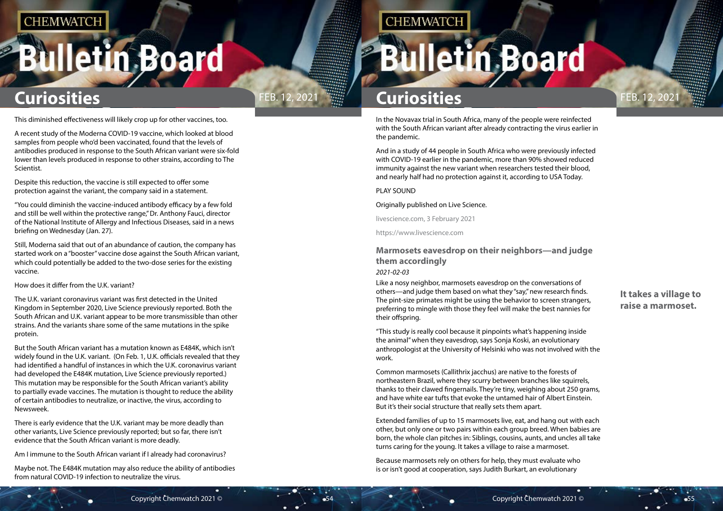# <span id="page-27-0"></span>**Bulletin Board**



**It takes a village to raise a marmoset.**

# **Curiosities Curiosities**

In the Novavax trial in South Africa, many of the people were reinfected with the South African variant after already contracting the virus earlier in the pandemic.

And in a study of 44 people in South Africa who were previously infected with COVID-19 earlier in the pandemic, more than 90% showed reduced immunity against the new variant when researchers tested their blood, and nearly half had no protection against it, according to USA Today.

PLAY SOUND

# Originally published on Live Science.

livescience.com, 3 February 2021

https://www.livescience.com

# **Marmosets eavesdrop on their neighbors—and judge them accordingly**

# *2021-02-03*

Like a nosy neighbor, marmosets eavesdrop on the conversations of others—and judge them based on what they "say," new research finds. The pint-size primates might be using the behavior to screen strangers, preferring to mingle with those they feel will make the best nannies for their offspring.

"This study is really cool because it pinpoints what's happening inside the animal" when they eavesdrop, says Sonja Koski, an evolutionary anthropologist at the University of Helsinki who was not involved with the work.

Common marmosets (Callithrix jacchus) are native to the forests of northeastern Brazil, where they scurry between branches like squirrels, thanks to their clawed fingernails. They're tiny, weighing about 250 grams, and have white ear tufts that evoke the untamed hair of Albert Einstein. But it's their social structure that really sets them apart.

Extended families of up to 15 marmosets live, eat, and hang out with each other, but only one or two pairs within each group breed. When babies are born, the whole clan pitches in: Siblings, cousins, aunts, and uncles all take turns caring for the young. It takes a village to raise a marmoset.

Because marmosets rely on others for help, they must evaluate who is or isn't good at cooperation, says Judith Burkart, an evolutionary

This diminished effectiveness will likely crop up for other vaccines, too.

A recent study of the Moderna COVID-19 vaccine, which looked at blood samples from people who'd been vaccinated, found that the levels of antibodies produced in response to the South African variant were six-fold lower than levels produced in response to other strains, according to The Scientist.

Despite this reduction, the vaccine is still expected to offer some protection against the variant, the company said in a statement.

"You could diminish the vaccine-induced antibody efficacy by a few fold and still be well within the protective range," Dr. Anthony Fauci, director of the National Institute of Allergy and Infectious Diseases, said in a news briefing on Wednesday (Jan. 27).

Still, Moderna said that out of an abundance of caution, the company has started work on a "booster" vaccine dose against the South African variant, which could potentially be added to the two-dose series for the existing vaccine.

How does it differ from the U.K. variant?

The U.K. variant coronavirus variant was first detected in the United Kingdom in September 2020, Live Science previously reported. Both the South African and U.K. variant appear to be more transmissible than other strains. And the variants share some of the same mutations in the spike protein.

But the South African variant has a mutation known as E484K, which isn't widely found in the U.K. variant. (On Feb. 1, U.K. officials revealed that they had identified a handful of instances in which the U.K. coronavirus variant had developed the E484K mutation, Live Science previously reported.) This mutation may be responsible for the South African variant's ability to partially evade vaccines. The mutation is thought to reduce the ability of certain antibodies to neutralize, or inactive, the virus, according to Newsweek.

There is early evidence that the U.K. variant may be more deadly than other variants, Live Science previously reported; but so far, there isn't evidence that the South African variant is more deadly.

Am I immune to the South African variant if I already had coronavirus?

Maybe not. The E484K mutation may also reduce the ability of antibodies from natural COVID-19 infection to neutralize the virus.

**CHEMWATCH** 

# **Illetin Board**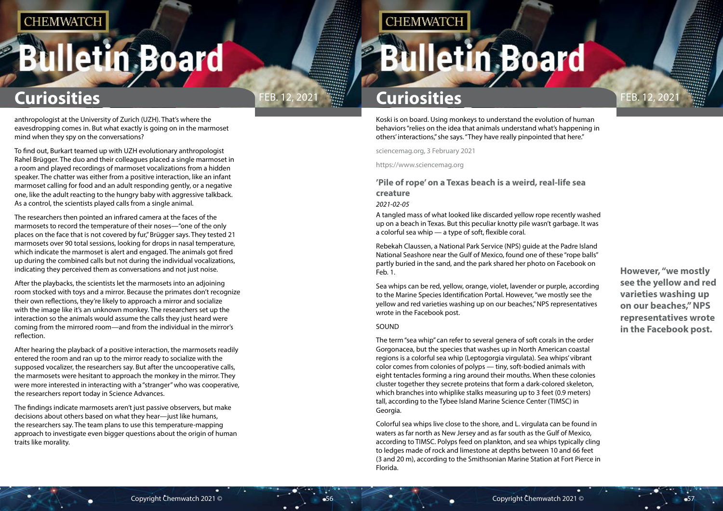# <span id="page-28-0"></span>**Bulletin Board**



**However, "we mostly see the yellow and red varieties washing up on our beaches," NPS representatives wrote in the Facebook post.**

# **Curiosities Curiosities**

Koski is on board. Using monkeys to understand the evolution of human behaviors "relies on the idea that animals understand what's happening in others' interactions," she says. "They have really pinpointed that here."

sciencemag.org, 3 February 2021

https://www.sciencemag.org

# **'Pile of rope' on a Texas beach is a weird, real-life sea creature**

### *2021-02-05*

A tangled mass of what looked like discarded yellow rope recently washed up on a beach in Texas. But this peculiar knotty pile wasn't garbage. It was a colorful sea whip — a type of soft, flexible coral.

Rebekah Claussen, a National Park Service (NPS) guide at the Padre Island National Seashore near the Gulf of Mexico, found one of these "rope balls" partly buried in the sand, and the park shared her photo on Facebook on Feb. 1.

Sea whips can be red, yellow, orange, violet, lavender or purple, according to the Marine Species Identification Portal. However, "we mostly see the yellow and red varieties washing up on our beaches," NPS representatives wrote in the Facebook post.

## SOUND

The term "sea whip" can refer to several genera of soft corals in the order Gorgonacea, but the species that washes up in North American coastal regions is a colorful sea whip (Leptogorgia virgulata). Sea whips' vibrant color comes from colonies of polyps — tiny, soft-bodied animals with eight tentacles forming a ring around their mouths. When these colonies cluster together they secrete proteins that form a dark-colored skeleton, which branches into whiplike stalks measuring up to 3 feet (0.9 meters) tall, according to the Tybee Island Marine Science Center (TIMSC) in Georgia.

Colorful sea whips live close to the shore, and L. virgulata can be found in waters as far north as New Jersey and as far south as the Gulf of Mexico, according to TIMSC. Polyps feed on plankton, and sea whips typically cling to ledges made of rock and limestone at depths between 10 and 66 feet (3 and 20 m), according to the Smithsonian Marine Station at Fort Pierce in Florida.

anthropologist at the University of Zurich (UZH). That's where the eavesdropping comes in. But what exactly is going on in the marmoset mind when they spy on the conversations?

To find out, Burkart teamed up with UZH evolutionary anthropologist Rahel Brügger. The duo and their colleagues placed a single marmoset in a room and played recordings of marmoset vocalizations from a hidden speaker. The chatter was either from a positive interaction, like an infant marmoset calling for food and an adult responding gently, or a negative one, like the adult reacting to the hungry baby with aggressive talkback. As a control, the scientists played calls from a single animal.

The researchers then pointed an infrared camera at the faces of the marmosets to record the temperature of their noses—"one of the only places on the face that is not covered by fur," Brügger says. They tested 21 marmosets over 90 total sessions, looking for drops in nasal temperature, which indicate the marmoset is alert and engaged. The animals got fired up during the combined calls but not during the individual vocalizations, indicating they perceived them as conversations and not just noise.

After the playbacks, the scientists let the marmosets into an adjoining room stocked with toys and a mirror. Because the primates don't recognize their own reflections, they're likely to approach a mirror and socialize with the image like it's an unknown monkey. The researchers set up the interaction so the animals would assume the calls they just heard were coming from the mirrored room—and from the individual in the mirror's reflection.

After hearing the playback of a positive interaction, the marmosets readily entered the room and ran up to the mirror ready to socialize with the supposed vocalizer, the researchers say. But after the uncooperative calls, the marmosets were hesitant to approach the monkey in the mirror. They were more interested in interacting with a "stranger" who was cooperative, the researchers report today in Science Advances.

The findings indicate marmosets aren't just passive observers, but make decisions about others based on what they hear—just like humans, the researchers say. The team plans to use this temperature-mapping approach to investigate even bigger questions about the origin of human traits like morality.

# **CHEMWATCH**

# **Bulletin Board**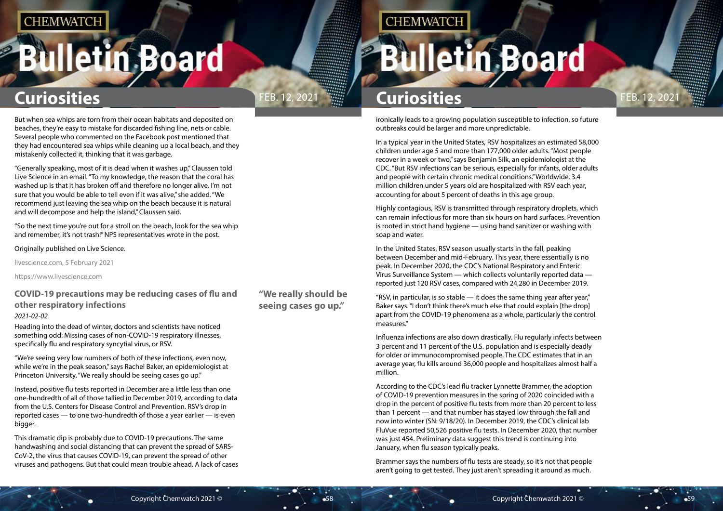# <span id="page-29-0"></span>**Bulletin Board**



# **"We really should be seeing cases go up."**

**CHEMWATCH** 

# **Curiosities Curiosities**

ironically leads to a growing population susceptible to infection, so future outbreaks could be larger and more unpredictable.

In a typical year in the United States, RSV hospitalizes an estimated 58,000 children under age 5 and more than 177,000 older adults. "Most people recover in a week or two," says Benjamin Silk, an epidemiologist at the CDC. "But RSV infections can be serious, especially for infants, older adults and people with certain chronic medical conditions." Worldwide, 3.4 million children under 5 years old are hospitalized with RSV each year, accounting for about 5 percent of deaths in this age group.

Highly contagious, RSV is transmitted through respiratory droplets, which can remain infectious for more than six hours on hard surfaces. Prevention is rooted in strict hand hygiene — using hand sanitizer or washing with soap and water.

In the United States, RSV season usually starts in the fall, peaking between December and mid-February. This year, there essentially is no peak. In December 2020, the CDC's National Respiratory and Enteric Virus Surveillance System — which collects voluntarily reported data reported just 120 RSV cases, compared with 24,280 in December 2019.

"Generally speaking, most of it is dead when it washes up," Claussen told Live Science in an email. "To my knowledge, the reason that the coral has washed up is that it has broken off and therefore no longer alive. I'm not sure that you would be able to tell even if it was alive," she added. "We recommend just leaving the sea whip on the beach because it is natural and will decompose and help the island," Claussen said.

> "RSV, in particular, is so stable — it does the same thing year after year," Baker says. "I don't think there's much else that could explain [the drop] apart from the COVID-19 phenomena as a whole, particularly the control measures."

Influenza infections are also down drastically. Flu regularly infects between 3 percent and 11 percent of the U.S. population and is especially deadly for older or immunocompromised people. The CDC estimates that in an average year, flu kills around 36,000 people and hospitalizes almost half a million.

According to the CDC's lead flu tracker Lynnette Brammer, the adoption of COVID-19 prevention measures in the spring of 2020 coincided with a drop in the percent of positive flu tests from more than 20 percent to less than 1 percent — and that number has stayed low through the fall and now into winter (SN: 9/18/20). In December 2019, the CDC's clinical lab FluVue reported 50,526 positive flu tests. In December 2020, that number was just 454. Preliminary data suggest this trend is continuing into January, when flu season typically peaks.

Brammer says the numbers of flu tests are steady, so it's not that people aren't going to get tested. They just aren't spreading it around as much.

But when sea whips are torn from their ocean habitats and deposited on beaches, they're easy to mistake for discarded fishing line, nets or cable. Several people who commented on the Facebook post mentioned that they had encountered sea whips while cleaning up a local beach, and they mistakenly collected it, thinking that it was garbage.

"So the next time you're out for a stroll on the beach, look for the sea whip and remember, it's not trash!" NPS representatives wrote in the post.

Originally published on Live Science.

livescience.com, 5 February 2021

https://www.livescience.com

# **COVID-19 precautions may be reducing cases of flu and other respiratory infections**

### *2021-02-02*

Heading into the dead of winter, doctors and scientists have noticed something odd: Missing cases of non-COVID-19 respiratory illnesses, specifically flu and respiratory syncytial virus, or RSV.

"We're seeing very low numbers of both of these infections, even now, while we're in the peak season," says Rachel Baker, an epidemiologist at Princeton University. "We really should be seeing cases go up."

Instead, positive flu tests reported in December are a little less than one one-hundredth of all of those tallied in December 2019, according to data from the U.S. Centers for Disease Control and Prevention. RSV's drop in reported cases — to one two-hundredth of those a year earlier — is even bigger.

This dramatic dip is probably due to COVID-19 precautions. The same handwashing and social distancing that can prevent the spread of SARS-CoV-2, the virus that causes COVID-19, can prevent the spread of other viruses and pathogens. But that could mean trouble ahead. A lack of cases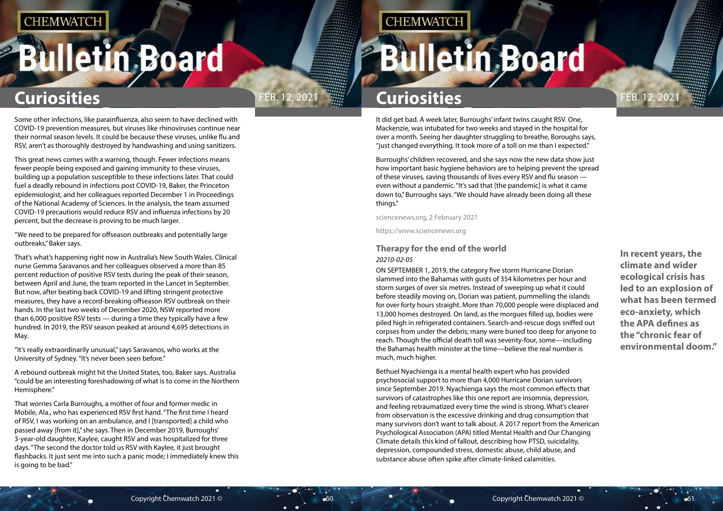# <span id="page-30-0"></span>**Bulletin Board**

**In recent years, the climate and wider ecological crisis has led to an explosion of what has been termed eco-anxiety, which the APA defines as the "chronic fear of environmental doom."**

# **Curiosities Curiosities**

It did get bad. A week later, Burroughs' infant twins caught RSV. One, Mackenzie, was intubated for two weeks and stayed in the hospital for over a month. Seeing her daughter struggling to breathe, Boroughs says, "just changed everything. It took more of a toll on me than I expected."

Burroughs' children recovered, and she says now the new data show just how important basic hygiene behaviors are to helping prevent the spread of these viruses, saving thousands of lives every RSV and flu season even without a pandemic. "It's sad that [the pandemic] is what it came down to," Burroughs says. "We should have already been doing all these things."

sciencenews.org, 2 February 2021

https://www.sciencenews.org

# **Therapy for the end of the world** *20210-02-05*

ON SEPTEMBER 1, 2019, the category five storm Hurricane Dorian slammed into the Bahamas with gusts of 354 kilometres per hour and storm surges of over six metres. Instead of sweeping up what it could before steadily moving on, Dorian was patient, pummelling the islands for over forty hours straight. More than 70,000 people were displaced and 13,000 homes destroyed. On land, as the morgues filled up, bodies were piled high in refrigerated containers. Search-and-rescue dogs sniffed out corpses from under the debris; many were buried too deep for anyone to reach. Though the official death toll was seventy-four, some—including the Bahamas health minister at the time—believe the real number is much, much higher.

Bethuel Nyachienga is a mental health expert who has provided psychosocial support to more than 4,000 Hurricane Dorian survivors since September 2019. Nyachienga says the most common effects that survivors of catastrophes like this one report are insomnia, depression, and feeling retraumatized every time the wind is strong. What's clearer from observation is the excessive drinking and drug consumption that many survivors don't want to talk about. A 2017 report from the American Psychological Association (APA) titled Mental Health and Our Changing Climate details this kind of fallout, describing how PTSD, suicidality, depression, compounded stress, domestic abuse, child abuse, and substance abuse often spike after climate-linked calamities.



Some other infections, like parainfluenza, also seem to have declined with COVID-19 prevention measures, but viruses like rhinoviruses continue near their normal season levels. It could be because these viruses, unlike flu and RSV, aren't as thoroughly destroyed by handwashing and using sanitizers.

This great news comes with a warning, though. Fewer infections means fewer people being exposed and gaining immunity to these viruses, building up a population susceptible to these infections later. That could fuel a deadly rebound in infections post COVID-19, Baker, the Princeton epidemiologist, and her colleagues reported December 1 in Proceedings of the National Academy of Sciences. In the analysis, the team assumed COVID-19 precautions would reduce RSV and influenza infections by 20 percent, but the decrease is proving to be much larger.

"We need to be prepared for offseason outbreaks and potentially large outbreaks," Baker says.

That's what's happening right now in Australia's New South Wales. Clinical nurse Gemma Saravanos and her colleagues observed a more than 85 percent reduction of positive RSV tests during the peak of their season, between April and June, the team reported in the Lancet in September. But now, after beating back COVID-19 and lifting stringent protective measures, they have a record-breaking offseason RSV outbreak on their hands. In the last two weeks of December 2020, NSW reported more than 6,000 positive RSV tests — during a time they typically have a few hundred. In 2019, the RSV season peaked at around 4,695 detections in May.

"It's really extraordinarily unusual," says Saravanos, who works at the University of Sydney. "It's never been seen before."

A rebound outbreak might hit the United States, too, Baker says. Australia "could be an interesting foreshadowing of what is to come in the Northern Hemisphere."

That worries Carla Burroughs, a mother of four and former medic in Mobile, Ala., who has experienced RSV first hand. "The first time I heard of RSV, I was working on an ambulance, and I [transported] a child who passed away [from it]," she says. Then in December 2019, Burroughs' 3-year-old daughter, Kaylee, caught RSV and was hospitalized for three days. "The second the doctor told us RSV with Kaylee, it just brought flashbacks. It just sent me into such a panic mode; I immediately knew this is going to be bad."

# **CHEMWATCH**

# **Bulletin Board**

# FEB. 12, 2021  $\frac{1}{2}$  Curiosities **Curiosities FEB. 12, 2021**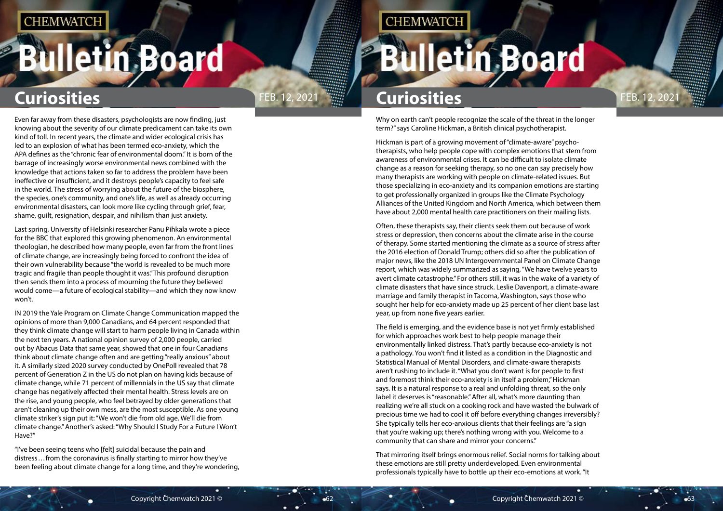# **Bulletin Board**

# **Curiosities** FEB. 12, 2021 **Curiosities** FEB. 12, 2021

Why on earth can't people recognize the scale of the threat in the longer term?" says Caroline Hickman, a British clinical psychotherapist.

Hickman is part of a growing movement of "climate-aware" psychotherapists, who help people cope with complex emotions that stem from awareness of environmental crises. It can be difficult to isolate climate change as a reason for seeking therapy, so no one can say precisely how many therapists are working with people on climate-related issues. But those specializing in eco-anxiety and its companion emotions are starting to get professionally organized in groups like the Climate Psychology Alliances of the United Kingdom and North America, which between them have about 2,000 mental health care practitioners on their mailing lists.

Often, these therapists say, their clients seek them out because of work stress or depression, then concerns about the climate arise in the course of therapy. Some started mentioning the climate as a source of stress after the 2016 election of Donald Trump; others did so after the publication of major news, like the 2018 UN Intergovernmental Panel on Climate Change report, which was widely summarized as saying, "We have twelve years to avert climate catastrophe." For others still, it was in the wake of a variety of climate disasters that have since struck. Leslie Davenport, a climate-aware marriage and family therapist in Tacoma, Washington, says those who sought her help for eco-anxiety made up 25 percent of her client base last year, up from none five years earlier.

The field is emerging, and the evidence base is not yet firmly established for which approaches work best to help people manage their environmentally linked distress. That's partly because eco-anxiety is not a pathology. You won't find it listed as a condition in the Diagnostic and Statistical Manual of Mental Disorders, and climate-aware therapists aren't rushing to include it. "What you don't want is for people to first and foremost think their eco-anxiety is in itself a problem," Hickman says. It is a natural response to a real and unfolding threat, so the only label it deserves is "reasonable." After all, what's more daunting than realizing we're all stuck on a cooking rock and have wasted the bulwark of precious time we had to cool it off before everything changes irreversibly? She typically tells her eco-anxious clients that their feelings are "a sign that you're waking up; there's nothing wrong with you. Welcome to a community that can share and mirror your concerns."

That mirroring itself brings enormous relief. Social norms for talking about these emotions are still pretty underdeveloped. Even environmental professionals typically have to bottle up their eco-emotions at work. "It



Even far away from these disasters, psychologists are now finding, just knowing about the severity of our climate predicament can take its own kind of toll. In recent years, the climate and wider ecological crisis has led to an explosion of what has been termed eco-anxiety, which the APA defines as the "chronic fear of environmental doom." It is born of the barrage of increasingly worse environmental news combined with the knowledge that actions taken so far to address the problem have been ineffective or insufficient, and it destroys people's capacity to feel safe in the world. The stress of worrying about the future of the biosphere,

the species, one's community, and one's life, as well as already occurring environmental disasters, can look more like cycling through grief, fear, shame, guilt, resignation, despair, and nihilism than just anxiety.

Last spring, University of Helsinki researcher Panu Pihkala wrote a piece for the BBC that explored this growing phenomenon. An environmental theologian, he described how many people, even far from the front lines of climate change, are increasingly being forced to confront the idea of their own vulnerability because "the world is revealed to be much more tragic and fragile than people thought it was." This profound disruption then sends them into a process of mourning the future they believed would come—a future of ecological stability—and which they now know won't.

IN 2019 the Yale Program on Climate Change Communication mapped the opinions of more than 9,000 Canadians, and 64 percent responded that they think climate change will start to harm people living in Canada within the next ten years. A national opinion survey of 2,000 people, carried out by Abacus Data that same year, showed that one in four Canadians think about climate change often and are getting "really anxious" about it. A similarly sized 2020 survey conducted by OnePoll revealed that 78 percent of Generation Z in the US do not plan on having kids because of climate change, while 71 percent of millennials in the US say that climate change has negatively affected their mental health. Stress levels are on the rise, and young people, who feel betrayed by older generations that aren't cleaning up their own mess, are the most susceptible. As one young climate striker's sign put it: "We won't die from old age. We'll die from climate change." Another's asked: "Why Should I Study For a Future I Won't Have?"

"I've been seeing teens who [felt] suicidal because the pain and distress. . .from the coronavirus is finally starting to mirror how they've been feeling about climate change for a long time, and they're wondering,

# **CHEMWATCH**

# **Bulletin Board**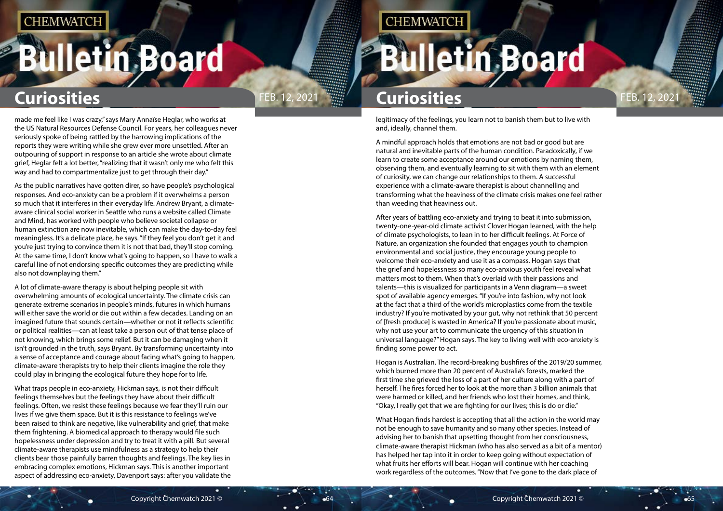# **Bulletin Board**



legitimacy of the feelings, you learn not to banish them but to live with and, ideally, channel them.

A mindful approach holds that emotions are not bad or good but are natural and inevitable parts of the human condition. Paradoxically, if we learn to create some acceptance around our emotions by naming them, observing them, and eventually learning to sit with them with an element of curiosity, we can change our relationships to them. A successful experience with a climate-aware therapist is about channelling and transforming what the heaviness of the climate crisis makes one feel rather than weeding that heaviness out.

After years of battling eco-anxiety and trying to beat it into submission, twenty-one-year-old climate activist Clover Hogan learned, with the help of climate psychologists, to lean in to her difficult feelings. At Force of Nature, an organization she founded that engages youth to champion environmental and social justice, they encourage young people to welcome their eco-anxiety and use it as a compass. Hogan says that the grief and hopelessness so many eco-anxious youth feel reveal what matters most to them. When that's overlaid with their passions and talents—this is visualized for participants in a Venn diagram—a sweet spot of available agency emerges. "If you're into fashion, why not look at the fact that a third of the world's microplastics come from the textile industry? If you're motivated by your gut, why not rethink that 50 percent of [fresh produce] is wasted in America? If you're passionate about music, why not use your art to communicate the urgency of this situation in universal language?" Hogan says. The key to living well with eco-anxiety is finding some power to act.

made me feel like I was crazy," says Mary Annaïse Heglar, who works at the US Natural Resources Defense Council. For years, her colleagues never seriously spoke of being rattled by the harrowing implications of the reports they were writing while she grew ever more unsettled. After an outpouring of support in response to an article she wrote about climate grief, Heglar felt a lot better, "realizing that it wasn't only me who felt this way and had to compartmentalize just to get through their day."

> Hogan is Australian. The record-breaking bushfires of the 2019/20 summer, which burned more than 20 percent of Australia's forests, marked the first time she grieved the loss of a part of her culture along with a part of herself. The fires forced her to look at the more than 3 billion animals that were harmed or killed, and her friends who lost their homes, and think, "Okay, I really get that we are fighting for our lives; this is do or die."

> What Hogan finds hardest is accepting that all the action in the world may not be enough to save humanity and so many other species. Instead of advising her to banish that upsetting thought from her consciousness, climate-aware therapist Hickman (who has also served as a bit of a mentor) has helped her tap into it in order to keep going without expectation of what fruits her efforts will bear. Hogan will continue with her coaching work regardless of the outcomes. "Now that I've gone to the dark place of

As the public narratives have gotten direr, so have people's psychological responses. And eco-anxiety can be a problem if it overwhelms a person so much that it interferes in their everyday life. Andrew Bryant, a climateaware clinical social worker in Seattle who runs a website called Climate and Mind, has worked with people who believe societal collapse or human extinction are now inevitable, which can make the day-to-day feel meaningless. It's a delicate place, he says. "If they feel you don't get it and you're just trying to convince them it is not that bad, they'll stop coming. At the same time, I don't know what's going to happen, so I have to walk a careful line of not endorsing specific outcomes they are predicting while also not downplaying them."

A lot of climate-aware therapy is about helping people sit with overwhelming amounts of ecological uncertainty. The climate crisis can generate extreme scenarios in people's minds, futures in which humans will either save the world or die out within a few decades. Landing on an imagined future that sounds certain—whether or not it reflects scientific or political realities—can at least take a person out of that tense place of not knowing, which brings some relief. But it can be damaging when it isn't grounded in the truth, says Bryant. By transforming uncertainty into a sense of acceptance and courage about facing what's going to happen, climate-aware therapists try to help their clients imagine the role they could play in bringing the ecological future they hope for to life.

What traps people in eco-anxiety, Hickman says, is not their difficult feelings themselves but the feelings they have about their difficult feelings. Often, we resist these feelings because we fear they'll ruin our lives if we give them space. But it is this resistance to feelings we've been raised to think are negative, like vulnerability and grief, that make them frightening. A biomedical approach to therapy would file such hopelessness under depression and try to treat it with a pill. But several climate-aware therapists use mindfulness as a strategy to help their clients bear those painfully barren thoughts and feelings. The key lies in embracing complex emotions, Hickman says. This is another important aspect of addressing eco-anxiety, Davenport says: after you validate the

# **CHEMWATCH**

# **Bulletin Board**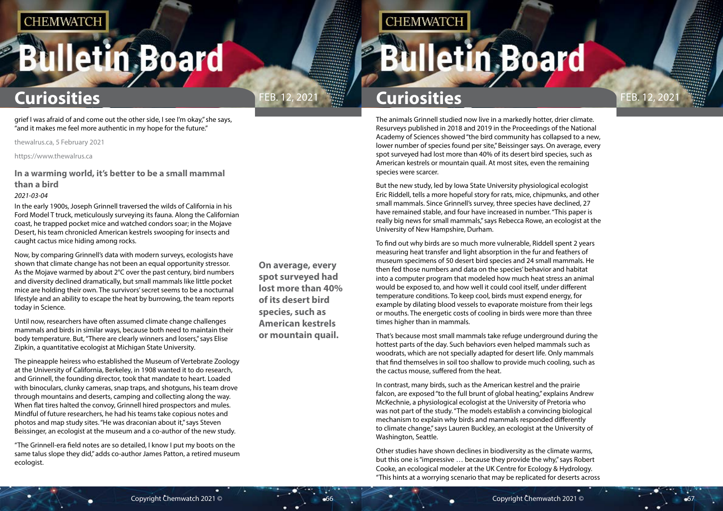# <span id="page-33-0"></span>**Bulletin Board**

**On average, every spot surveyed had lost more than 40% of its desert bird species, such as American kestrels or mountain quail.**

# FEB. 12, 2021  $\frac{1}{2}$  Curiosities **Curiosities FEB. 12, 2021**

**CHEMWATCH** 

# **Curiosities Curiosities**

The animals Grinnell studied now live in a markedly hotter, drier climate. Resurveys published in 2018 and 2019 in the Proceedings of the National Academy of Sciences showed "the bird community has collapsed to a new, lower number of species found per site," Beissinger says. On average, every spot surveyed had lost more than 40% of its desert bird species, such as American kestrels or mountain quail. At most sites, even the remaining species were scarcer.

To find out why birds are so much more vulnerable, Riddell spent 2 years measuring heat transfer and light absorption in the fur and feathers of museum specimens of 50 desert bird species and 24 small mammals. He then fed those numbers and data on the species' behavior and habitat into a computer program that modeled how much heat stress an animal would be exposed to, and how well it could cool itself, under different temperature conditions. To keep cool, birds must expend energy, for example by dilating blood vessels to evaporate moisture from their legs or mouths. The energetic costs of cooling in birds were more than three times higher than in mammals.

But the new study, led by Iowa State University physiological ecologist Eric Riddell, tells a more hopeful story for rats, mice, chipmunks, and other small mammals. Since Grinnell's survey, three species have declined, 27 have remained stable, and four have increased in number. "This paper is really big news for small mammals," says Rebecca Rowe, an ecologist at the University of New Hampshire, Durham.

That's because most small mammals take refuge underground during the hottest parts of the day. Such behaviors even helped mammals such as woodrats, which are not specially adapted for desert life. Only mammals that find themselves in soil too shallow to provide much cooling, such as the cactus mouse, suffered from the heat.

In contrast, many birds, such as the American kestrel and the prairie falcon, are exposed "to the full brunt of global heating," explains Andrew McKechnie, a physiological ecologist at the University of Pretoria who was not part of the study. "The models establish a convincing biological mechanism to explain why birds and mammals responded differently to climate change," says Lauren Buckley, an ecologist at the University of Washington, Seattle.

Other studies have shown declines in biodiversity as the climate warms, but this one is "impressive … because they provide the why," says Robert Cooke, an ecological modeler at the UK Centre for Ecology & Hydrology. "This hints at a worrying scenario that may be replicated for deserts across

# **Bulletin Board**

grief I was afraid of and come out the other side, I see I'm okay," she says, "and it makes me feel more authentic in my hope for the future."

thewalrus.ca, 5 February 2021

https://www.thewalrus.ca

## **In a warming world, it's better to be a small mammal than a bird**

### *2021-03-04*

In the early 1900s, Joseph Grinnell traversed the wilds of California in his Ford Model T truck, meticulously surveying its fauna. Along the Californian coast, he trapped pocket mice and watched condors soar; in the Mojave Desert, his team chronicled American kestrels swooping for insects and caught cactus mice hiding among rocks.

Now, by comparing Grinnell's data with modern surveys, ecologists have shown that climate change has not been an equal opportunity stressor. As the Mojave warmed by about 2°C over the past century, bird numbers and diversity declined dramatically, but small mammals like little pocket mice are holding their own. The survivors' secret seems to be a nocturnal lifestyle and an ability to escape the heat by burrowing, the team reports today in Science.

Until now, researchers have often assumed climate change challenges mammals and birds in similar ways, because both need to maintain their body temperature. But, "There are clearly winners and losers," says Elise Zipkin, a quantitative ecologist at Michigan State University.

The pineapple heiress who established the Museum of Vertebrate Zoology at the University of California, Berkeley, in 1908 wanted it to do research, and Grinnell, the founding director, took that mandate to heart. Loaded with binoculars, clunky cameras, snap traps, and shotguns, his team drove through mountains and deserts, camping and collecting along the way. When flat tires halted the convoy, Grinnell hired prospectors and mules. Mindful of future researchers, he had his teams take copious notes and photos and map study sites. "He was draconian about it," says Steven Beissinger, an ecologist at the museum and a co-author of the new study.

"The Grinnell-era field notes are so detailed, I know I put my boots on the same talus slope they did," adds co-author James Patton, a retired museum ecologist.